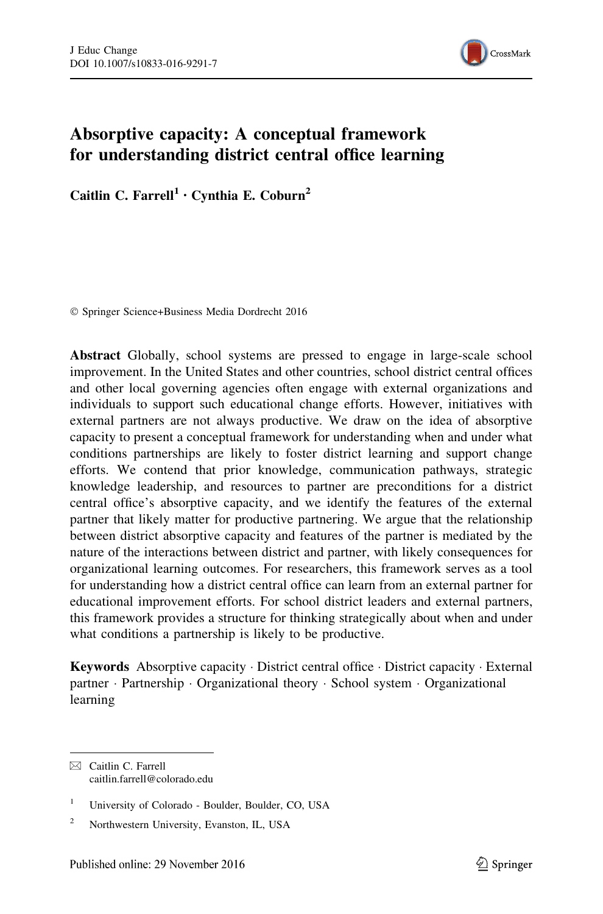

# Absorptive capacity: A conceptual framework for understanding district central office learning

Caitlin C. Farrell<sup>1</sup>  $\cdot$  Cynthia E. Coburn<sup>2</sup>

- Springer Science+Business Media Dordrecht 2016

Abstract Globally, school systems are pressed to engage in large-scale school improvement. In the United States and other countries, school district central offices and other local governing agencies often engage with external organizations and individuals to support such educational change efforts. However, initiatives with external partners are not always productive. We draw on the idea of absorptive capacity to present a conceptual framework for understanding when and under what conditions partnerships are likely to foster district learning and support change efforts. We contend that prior knowledge, communication pathways, strategic knowledge leadership, and resources to partner are preconditions for a district central office's absorptive capacity, and we identify the features of the external partner that likely matter for productive partnering. We argue that the relationship between district absorptive capacity and features of the partner is mediated by the nature of the interactions between district and partner, with likely consequences for organizational learning outcomes. For researchers, this framework serves as a tool for understanding how a district central office can learn from an external partner for educational improvement efforts. For school district leaders and external partners, this framework provides a structure for thinking strategically about when and under what conditions a partnership is likely to be productive.

Keywords Absorptive capacity · District central office · District capacity · External partner - Partnership - Organizational theory - School system - Organizational learning

 $\boxtimes$  Caitlin C. Farrell caitlin.farrell@colorado.edu

<sup>&</sup>lt;sup>1</sup> University of Colorado - Boulder, Boulder, CO, USA

<sup>&</sup>lt;sup>2</sup> Northwestern University, Evanston, IL, USA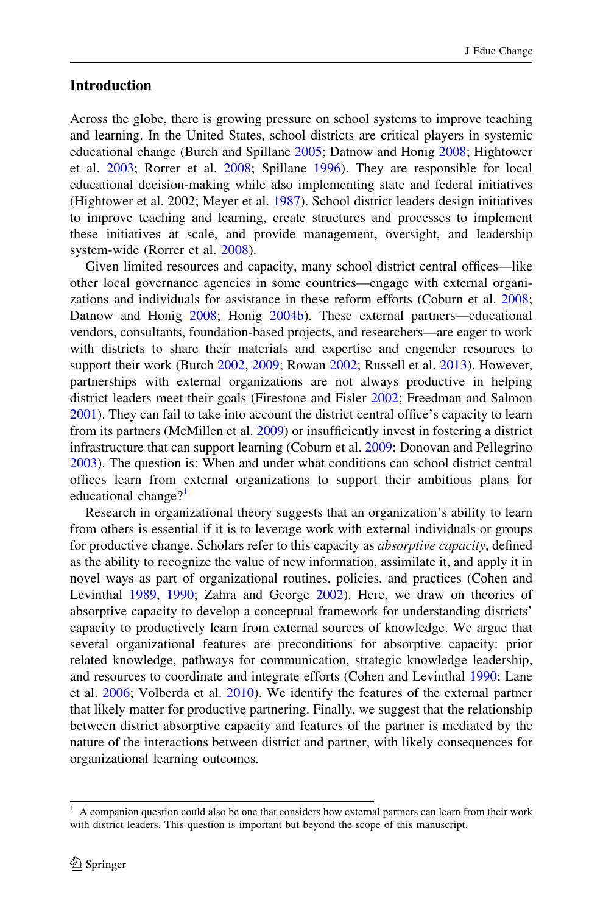# Introduction

Across the globe, there is growing pressure on school systems to improve teaching and learning. In the United States, school districts are critical players in systemic educational change (Burch and Spillane [2005;](#page-19-0) Datnow and Honig [2008;](#page-20-0) Hightower et al. [2003;](#page-21-0) Rorrer et al. [2008](#page-23-0); Spillane [1996\)](#page-23-0). They are responsible for local educational decision-making while also implementing state and federal initiatives (Hightower et al. 2002; Meyer et al. [1987](#page-22-0)). School district leaders design initiatives to improve teaching and learning, create structures and processes to implement these initiatives at scale, and provide management, oversight, and leadership system-wide (Rorrer et al. [2008](#page-23-0)).

Given limited resources and capacity, many school district central offices—like other local governance agencies in some countries—engage with external organizations and individuals for assistance in these reform efforts (Coburn et al. [2008;](#page-20-0) Datnow and Honig [2008](#page-20-0); Honig [2004b\)](#page-21-0). These external partners—educational vendors, consultants, foundation-based projects, and researchers—are eager to work with districts to share their materials and expertise and engender resources to support their work (Burch [2002,](#page-19-0) [2009;](#page-19-0) Rowan [2002](#page-23-0); Russell et al. [2013\)](#page-23-0). However, partnerships with external organizations are not always productive in helping district leaders meet their goals (Firestone and Fisler [2002;](#page-20-0) Freedman and Salmon [2001\)](#page-20-0). They can fail to take into account the district central office's capacity to learn from its partners (McMillen et al. [2009](#page-22-0)) or insufficiently invest in fostering a district infrastructure that can support learning (Coburn et al. [2009](#page-20-0); Donovan and Pellegrino [2003\)](#page-20-0). The question is: When and under what conditions can school district central offices learn from external organizations to support their ambitious plans for educational change?<sup>1</sup>

Research in organizational theory suggests that an organization's ability to learn from others is essential if it is to leverage work with external individuals or groups for productive change. Scholars refer to this capacity as *absorptive capacity*, defined as the ability to recognize the value of new information, assimilate it, and apply it in novel ways as part of organizational routines, policies, and practices (Cohen and Levinthal [1989](#page-20-0), [1990](#page-20-0); Zahra and George [2002](#page-24-0)). Here, we draw on theories of absorptive capacity to develop a conceptual framework for understanding districts' capacity to productively learn from external sources of knowledge. We argue that several organizational features are preconditions for absorptive capacity: prior related knowledge, pathways for communication, strategic knowledge leadership, and resources to coordinate and integrate efforts (Cohen and Levinthal [1990](#page-20-0); Lane et al. [2006;](#page-22-0) Volberda et al. [2010](#page-24-0)). We identify the features of the external partner that likely matter for productive partnering. Finally, we suggest that the relationship between district absorptive capacity and features of the partner is mediated by the nature of the interactions between district and partner, with likely consequences for organizational learning outcomes.

<sup>1</sup> A companion question could also be one that considers how external partners can learn from their work with district leaders. This question is important but beyond the scope of this manuscript.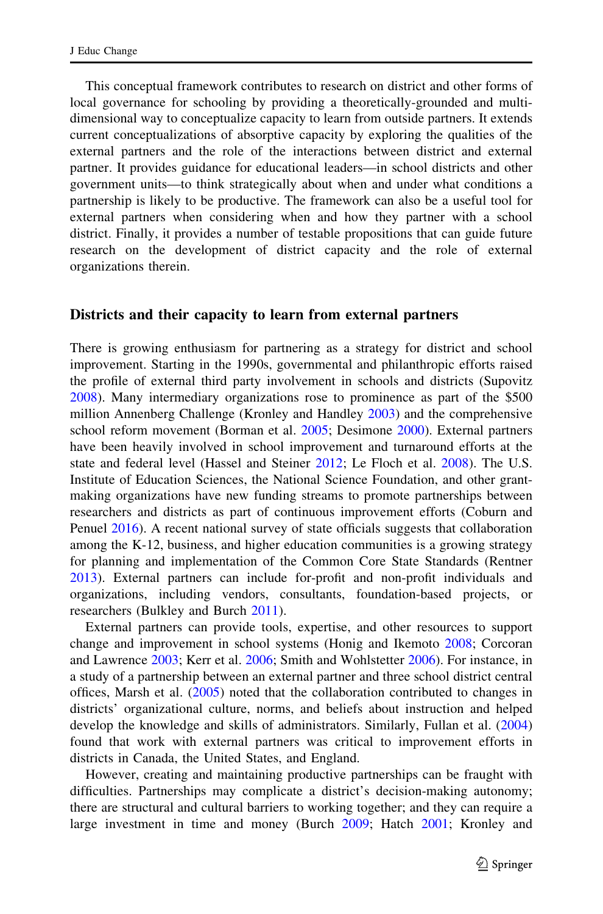This conceptual framework contributes to research on district and other forms of local governance for schooling by providing a theoretically-grounded and multidimensional way to conceptualize capacity to learn from outside partners. It extends current conceptualizations of absorptive capacity by exploring the qualities of the external partners and the role of the interactions between district and external partner. It provides guidance for educational leaders—in school districts and other government units—to think strategically about when and under what conditions a partnership is likely to be productive. The framework can also be a useful tool for external partners when considering when and how they partner with a school district. Finally, it provides a number of testable propositions that can guide future research on the development of district capacity and the role of external organizations therein.

#### Districts and their capacity to learn from external partners

There is growing enthusiasm for partnering as a strategy for district and school improvement. Starting in the 1990s, governmental and philanthropic efforts raised the profile of external third party involvement in schools and districts (Supovitz [2008\)](#page-23-0). Many intermediary organizations rose to prominence as part of the \$500 million Annenberg Challenge (Kronley and Handley [2003](#page-22-0)) and the comprehensive school reform movement (Borman et al. [2005](#page-19-0); Desimone [2000\)](#page-20-0). External partners have been heavily involved in school improvement and turnaround efforts at the state and federal level (Hassel and Steiner [2012](#page-21-0); Le Floch et al. [2008\)](#page-22-0). The U.S. Institute of Education Sciences, the National Science Foundation, and other grantmaking organizations have new funding streams to promote partnerships between researchers and districts as part of continuous improvement efforts (Coburn and Penuel [2016](#page-19-0)). A recent national survey of state officials suggests that collaboration among the K-12, business, and higher education communities is a growing strategy for planning and implementation of the Common Core State Standards (Rentner [2013\)](#page-23-0). External partners can include for-profit and non-profit individuals and organizations, including vendors, consultants, foundation-based projects, or researchers (Bulkley and Burch [2011](#page-19-0)).

External partners can provide tools, expertise, and other resources to support change and improvement in school systems (Honig and Ikemoto [2008](#page-21-0); Corcoran and Lawrence [2003](#page-20-0); Kerr et al. [2006;](#page-22-0) Smith and Wohlstetter [2006\)](#page-23-0). For instance, in a study of a partnership between an external partner and three school district central offices, Marsh et al. [\(2005](#page-22-0)) noted that the collaboration contributed to changes in districts' organizational culture, norms, and beliefs about instruction and helped develop the knowledge and skills of administrators. Similarly, Fullan et al. [\(2004](#page-21-0)) found that work with external partners was critical to improvement efforts in districts in Canada, the United States, and England.

However, creating and maintaining productive partnerships can be fraught with difficulties. Partnerships may complicate a district's decision-making autonomy; there are structural and cultural barriers to working together; and they can require a large investment in time and money (Burch [2009](#page-19-0); Hatch [2001](#page-21-0); Kronley and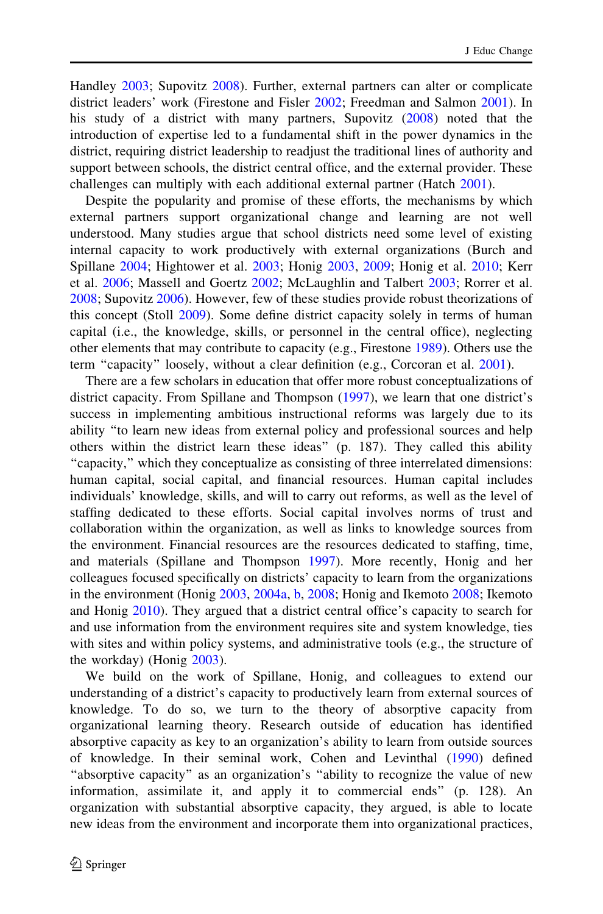Handley [2003;](#page-22-0) Supovitz [2008\)](#page-23-0). Further, external partners can alter or complicate district leaders' work (Firestone and Fisler [2002](#page-20-0); Freedman and Salmon [2001\)](#page-20-0). In his study of a district with many partners, Supovitz [\(2008](#page-23-0)) noted that the introduction of expertise led to a fundamental shift in the power dynamics in the district, requiring district leadership to readjust the traditional lines of authority and support between schools, the district central office, and the external provider. These challenges can multiply with each additional external partner (Hatch [2001](#page-21-0)).

Despite the popularity and promise of these efforts, the mechanisms by which external partners support organizational change and learning are not well understood. Many studies argue that school districts need some level of existing internal capacity to work productively with external organizations (Burch and Spillane [2004](#page-19-0); Hightower et al. [2003](#page-21-0); Honig [2003,](#page-21-0) [2009;](#page-21-0) Honig et al. [2010;](#page-21-0) Kerr et al. [2006;](#page-22-0) Massell and Goertz [2002](#page-22-0); McLaughlin and Talbert [2003](#page-22-0); Rorrer et al. [2008;](#page-23-0) Supovitz [2006](#page-23-0)). However, few of these studies provide robust theorizations of this concept (Stoll [2009](#page-23-0)). Some define district capacity solely in terms of human capital (i.e., the knowledge, skills, or personnel in the central office), neglecting other elements that may contribute to capacity (e.g., Firestone [1989\)](#page-20-0). Others use the term "capacity" loosely, without a clear definition (e.g., Corcoran et al. [2001](#page-20-0)).

There are a few scholars in education that offer more robust conceptualizations of district capacity. From Spillane and Thompson ([1997\)](#page-23-0), we learn that one district's success in implementing ambitious instructional reforms was largely due to its ability ''to learn new ideas from external policy and professional sources and help others within the district learn these ideas'' (p. 187). They called this ability "capacity," which they conceptualize as consisting of three interrelated dimensions: human capital, social capital, and financial resources. Human capital includes individuals' knowledge, skills, and will to carry out reforms, as well as the level of staffing dedicated to these efforts. Social capital involves norms of trust and collaboration within the organization, as well as links to knowledge sources from the environment. Financial resources are the resources dedicated to staffing, time, and materials (Spillane and Thompson [1997\)](#page-23-0). More recently, Honig and her colleagues focused specifically on districts' capacity to learn from the organizations in the environment (Honig [2003,](#page-21-0) [2004a](#page-21-0), [b](#page-21-0), [2008](#page-21-0); Honig and Ikemoto [2008;](#page-21-0) Ikemoto and Honig [2010\)](#page-21-0). They argued that a district central office's capacity to search for and use information from the environment requires site and system knowledge, ties with sites and within policy systems, and administrative tools (e.g., the structure of the workday) (Honig [2003\)](#page-21-0).

We build on the work of Spillane, Honig, and colleagues to extend our understanding of a district's capacity to productively learn from external sources of knowledge. To do so, we turn to the theory of absorptive capacity from organizational learning theory. Research outside of education has identified absorptive capacity as key to an organization's ability to learn from outside sources of knowledge. In their seminal work, Cohen and Levinthal ([1990\)](#page-20-0) defined "absorptive capacity" as an organization's "ability to recognize the value of new information, assimilate it, and apply it to commercial ends'' (p. 128). An organization with substantial absorptive capacity, they argued, is able to locate new ideas from the environment and incorporate them into organizational practices,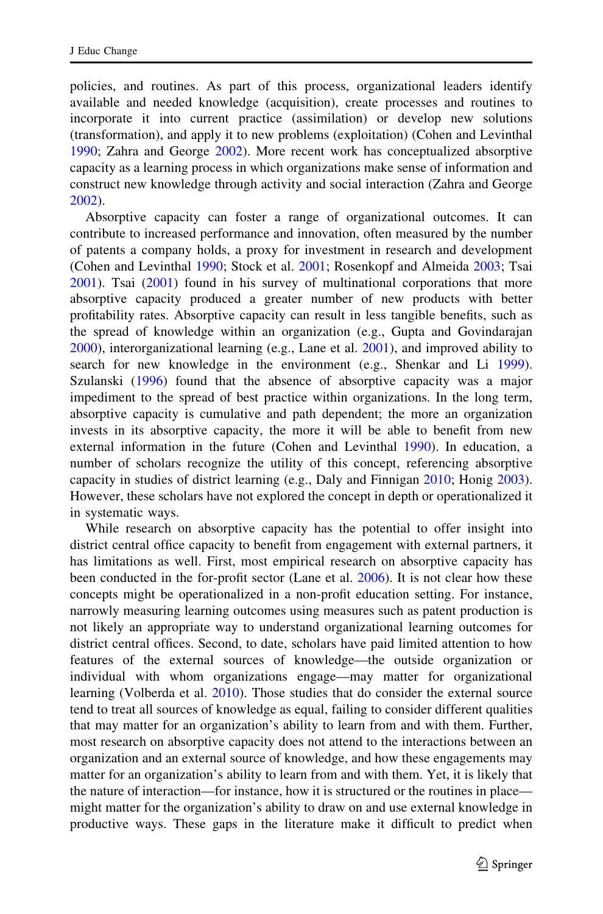policies, and routines. As part of this process, organizational leaders identify available and needed knowledge (acquisition), create processes and routines to incorporate it into current practice (assimilation) or develop new solutions (transformation), and apply it to new problems (exploitation) (Cohen and Levinthal [1990;](#page-20-0) Zahra and George [2002\)](#page-24-0). More recent work has conceptualized absorptive capacity as a learning process in which organizations make sense of information and construct new knowledge through activity and social interaction (Zahra and George [2002\)](#page-24-0).

Absorptive capacity can foster a range of organizational outcomes. It can contribute to increased performance and innovation, often measured by the number of patents a company holds, a proxy for investment in research and development (Cohen and Levinthal [1990;](#page-20-0) Stock et al. [2001;](#page-23-0) Rosenkopf and Almeida [2003](#page-23-0); Tsai [2001\)](#page-24-0). Tsai ([2001\)](#page-24-0) found in his survey of multinational corporations that more absorptive capacity produced a greater number of new products with better profitability rates. Absorptive capacity can result in less tangible benefits, such as the spread of knowledge within an organization (e.g., Gupta and Govindarajan [2000\)](#page-21-0), interorganizational learning (e.g., Lane et al. [2001](#page-22-0)), and improved ability to search for new knowledge in the environment (e.g., Shenkar and Li [1999\)](#page-23-0). Szulanski ([1996\)](#page-23-0) found that the absence of absorptive capacity was a major impediment to the spread of best practice within organizations. In the long term, absorptive capacity is cumulative and path dependent; the more an organization invests in its absorptive capacity, the more it will be able to benefit from new external information in the future (Cohen and Levinthal [1990](#page-20-0)). In education, a number of scholars recognize the utility of this concept, referencing absorptive capacity in studies of district learning (e.g., Daly and Finnigan [2010;](#page-20-0) Honig [2003\)](#page-21-0). However, these scholars have not explored the concept in depth or operationalized it in systematic ways.

While research on absorptive capacity has the potential to offer insight into district central office capacity to benefit from engagement with external partners, it has limitations as well. First, most empirical research on absorptive capacity has been conducted in the for-profit sector (Lane et al. [2006\)](#page-22-0). It is not clear how these concepts might be operationalized in a non-profit education setting. For instance, narrowly measuring learning outcomes using measures such as patent production is not likely an appropriate way to understand organizational learning outcomes for district central offices. Second, to date, scholars have paid limited attention to how features of the external sources of knowledge—the outside organization or individual with whom organizations engage—may matter for organizational learning (Volberda et al. [2010\)](#page-24-0). Those studies that do consider the external source tend to treat all sources of knowledge as equal, failing to consider different qualities that may matter for an organization's ability to learn from and with them. Further, most research on absorptive capacity does not attend to the interactions between an organization and an external source of knowledge, and how these engagements may matter for an organization's ability to learn from and with them. Yet, it is likely that the nature of interaction—for instance, how it is structured or the routines in place might matter for the organization's ability to draw on and use external knowledge in productive ways. These gaps in the literature make it difficult to predict when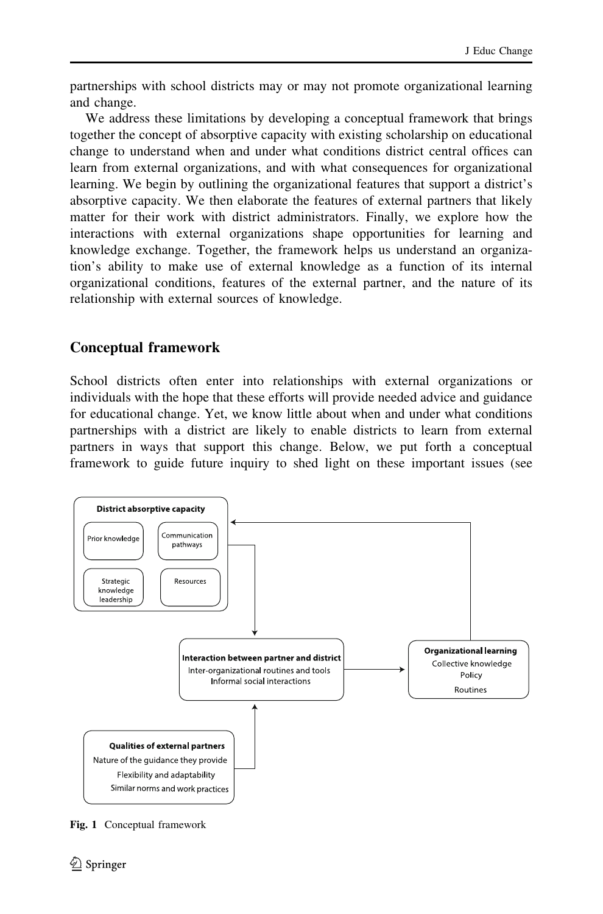<span id="page-5-0"></span>partnerships with school districts may or may not promote organizational learning and change.

We address these limitations by developing a conceptual framework that brings together the concept of absorptive capacity with existing scholarship on educational change to understand when and under what conditions district central offices can learn from external organizations, and with what consequences for organizational learning. We begin by outlining the organizational features that support a district's absorptive capacity. We then elaborate the features of external partners that likely matter for their work with district administrators. Finally, we explore how the interactions with external organizations shape opportunities for learning and knowledge exchange. Together, the framework helps us understand an organization's ability to make use of external knowledge as a function of its internal organizational conditions, features of the external partner, and the nature of its relationship with external sources of knowledge.

# Conceptual framework

School districts often enter into relationships with external organizations or individuals with the hope that these efforts will provide needed advice and guidance for educational change. Yet, we know little about when and under what conditions partnerships with a district are likely to enable districts to learn from external partners in ways that support this change. Below, we put forth a conceptual framework to guide future inquiry to shed light on these important issues (see



Fig. 1 Conceptual framework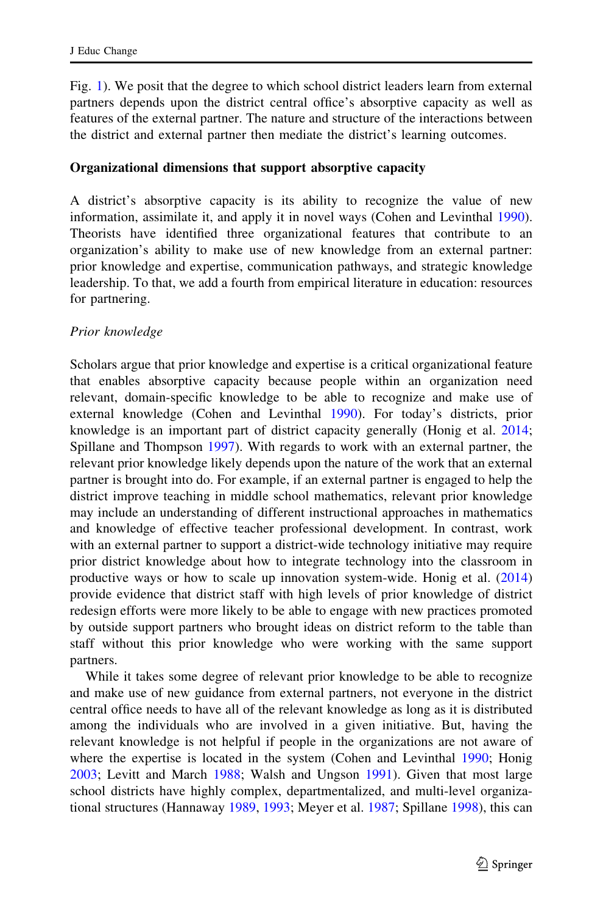Fig. [1](#page-5-0)). We posit that the degree to which school district leaders learn from external partners depends upon the district central office's absorptive capacity as well as features of the external partner. The nature and structure of the interactions between the district and external partner then mediate the district's learning outcomes.

# Organizational dimensions that support absorptive capacity

A district's absorptive capacity is its ability to recognize the value of new information, assimilate it, and apply it in novel ways (Cohen and Levinthal [1990\)](#page-20-0). Theorists have identified three organizational features that contribute to an organization's ability to make use of new knowledge from an external partner: prior knowledge and expertise, communication pathways, and strategic knowledge leadership. To that, we add a fourth from empirical literature in education: resources for partnering.

# Prior knowledge

Scholars argue that prior knowledge and expertise is a critical organizational feature that enables absorptive capacity because people within an organization need relevant, domain-specific knowledge to be able to recognize and make use of external knowledge (Cohen and Levinthal [1990\)](#page-20-0). For today's districts, prior knowledge is an important part of district capacity generally (Honig et al. [2014;](#page-21-0) Spillane and Thompson [1997](#page-23-0)). With regards to work with an external partner, the relevant prior knowledge likely depends upon the nature of the work that an external partner is brought into do. For example, if an external partner is engaged to help the district improve teaching in middle school mathematics, relevant prior knowledge may include an understanding of different instructional approaches in mathematics and knowledge of effective teacher professional development. In contrast, work with an external partner to support a district-wide technology initiative may require prior district knowledge about how to integrate technology into the classroom in productive ways or how to scale up innovation system-wide. Honig et al. [\(2014](#page-21-0)) provide evidence that district staff with high levels of prior knowledge of district redesign efforts were more likely to be able to engage with new practices promoted by outside support partners who brought ideas on district reform to the table than staff without this prior knowledge who were working with the same support partners.

While it takes some degree of relevant prior knowledge to be able to recognize and make use of new guidance from external partners, not everyone in the district central office needs to have all of the relevant knowledge as long as it is distributed among the individuals who are involved in a given initiative. But, having the relevant knowledge is not helpful if people in the organizations are not aware of where the expertise is located in the system (Cohen and Levinthal [1990](#page-20-0); Honig [2003;](#page-21-0) Levitt and March [1988](#page-22-0); Walsh and Ungson [1991](#page-24-0)). Given that most large school districts have highly complex, departmentalized, and multi-level organizational structures (Hannaway [1989,](#page-21-0) [1993;](#page-21-0) Meyer et al. [1987](#page-22-0); Spillane [1998\)](#page-23-0), this can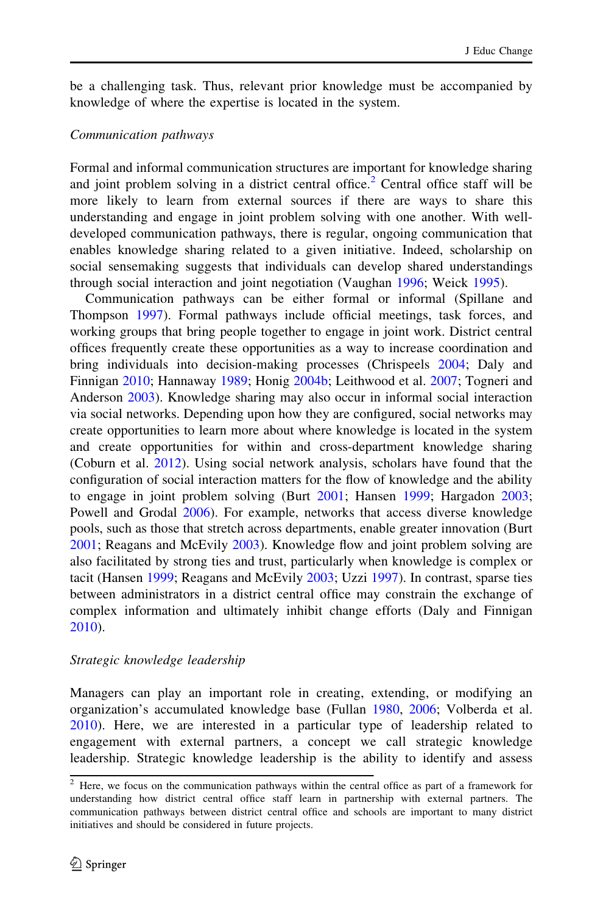be a challenging task. Thus, relevant prior knowledge must be accompanied by knowledge of where the expertise is located in the system.

#### Communication pathways

Formal and informal communication structures are important for knowledge sharing and joint problem solving in a district central office.<sup>2</sup> Central office staff will be more likely to learn from external sources if there are ways to share this understanding and engage in joint problem solving with one another. With welldeveloped communication pathways, there is regular, ongoing communication that enables knowledge sharing related to a given initiative. Indeed, scholarship on social sensemaking suggests that individuals can develop shared understandings through social interaction and joint negotiation (Vaughan [1996](#page-24-0); Weick [1995\)](#page-24-0).

Communication pathways can be either formal or informal (Spillane and Thompson [1997](#page-23-0)). Formal pathways include official meetings, task forces, and working groups that bring people together to engage in joint work. District central offices frequently create these opportunities as a way to increase coordination and bring individuals into decision-making processes (Chrispeels [2004](#page-19-0); Daly and Finnigan [2010](#page-20-0); Hannaway [1989;](#page-21-0) Honig [2004b](#page-21-0); Leithwood et al. [2007;](#page-22-0) Togneri and Anderson [2003](#page-24-0)). Knowledge sharing may also occur in informal social interaction via social networks. Depending upon how they are configured, social networks may create opportunities to learn more about where knowledge is located in the system and create opportunities for within and cross-department knowledge sharing (Coburn et al. [2012](#page-20-0)). Using social network analysis, scholars have found that the configuration of social interaction matters for the flow of knowledge and the ability to engage in joint problem solving (Burt [2001](#page-19-0); Hansen [1999;](#page-21-0) Hargadon [2003;](#page-21-0) Powell and Grodal [2006](#page-23-0)). For example, networks that access diverse knowledge pools, such as those that stretch across departments, enable greater innovation (Burt [2001;](#page-19-0) Reagans and McEvily [2003](#page-23-0)). Knowledge flow and joint problem solving are also facilitated by strong ties and trust, particularly when knowledge is complex or tacit (Hansen [1999;](#page-21-0) Reagans and McEvily [2003;](#page-23-0) Uzzi [1997\)](#page-24-0). In contrast, sparse ties between administrators in a district central office may constrain the exchange of complex information and ultimately inhibit change efforts (Daly and Finnigan [2010\)](#page-20-0).

#### Strategic knowledge leadership

Managers can play an important role in creating, extending, or modifying an organization's accumulated knowledge base (Fullan [1980](#page-21-0), [2006](#page-21-0); Volberda et al. [2010\)](#page-24-0). Here, we are interested in a particular type of leadership related to engagement with external partners, a concept we call strategic knowledge leadership. Strategic knowledge leadership is the ability to identify and assess

 $2$  Here, we focus on the communication pathways within the central office as part of a framework for understanding how district central office staff learn in partnership with external partners. The communication pathways between district central office and schools are important to many district initiatives and should be considered in future projects.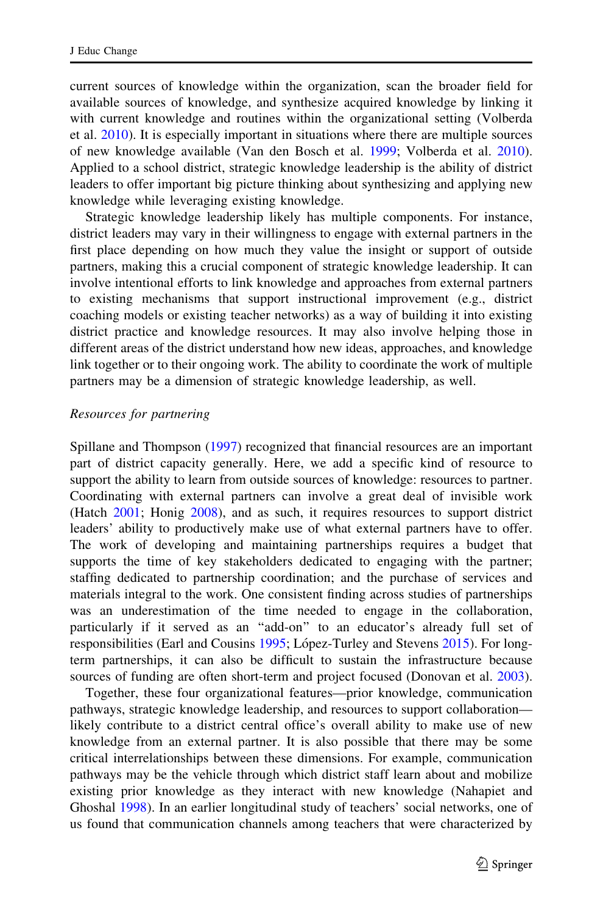current sources of knowledge within the organization, scan the broader field for available sources of knowledge, and synthesize acquired knowledge by linking it with current knowledge and routines within the organizational setting (Volberda et al. [2010\)](#page-24-0). It is especially important in situations where there are multiple sources of new knowledge available (Van den Bosch et al. [1999](#page-24-0); Volberda et al. [2010\)](#page-24-0). Applied to a school district, strategic knowledge leadership is the ability of district leaders to offer important big picture thinking about synthesizing and applying new knowledge while leveraging existing knowledge.

Strategic knowledge leadership likely has multiple components. For instance, district leaders may vary in their willingness to engage with external partners in the first place depending on how much they value the insight or support of outside partners, making this a crucial component of strategic knowledge leadership. It can involve intentional efforts to link knowledge and approaches from external partners to existing mechanisms that support instructional improvement (e.g., district coaching models or existing teacher networks) as a way of building it into existing district practice and knowledge resources. It may also involve helping those in different areas of the district understand how new ideas, approaches, and knowledge link together or to their ongoing work. The ability to coordinate the work of multiple partners may be a dimension of strategic knowledge leadership, as well.

#### Resources for partnering

Spillane and Thompson ([1997\)](#page-23-0) recognized that financial resources are an important part of district capacity generally. Here, we add a specific kind of resource to support the ability to learn from outside sources of knowledge: resources to partner. Coordinating with external partners can involve a great deal of invisible work (Hatch [2001;](#page-21-0) Honig [2008\)](#page-21-0), and as such, it requires resources to support district leaders' ability to productively make use of what external partners have to offer. The work of developing and maintaining partnerships requires a budget that supports the time of key stakeholders dedicated to engaging with the partner; staffing dedicated to partnership coordination; and the purchase of services and materials integral to the work. One consistent finding across studies of partnerships was an underestimation of the time needed to engage in the collaboration, particularly if it served as an ''add-on'' to an educator's already full set of responsibilities (Earl and Cousins [1995;](#page-20-0) López-Turley and Stevens [2015](#page-22-0)). For longterm partnerships, it can also be difficult to sustain the infrastructure because sources of funding are often short-term and project focused (Donovan et al. [2003\)](#page-20-0).

Together, these four organizational features—prior knowledge, communication pathways, strategic knowledge leadership, and resources to support collaboration likely contribute to a district central office's overall ability to make use of new knowledge from an external partner. It is also possible that there may be some critical interrelationships between these dimensions. For example, communication pathways may be the vehicle through which district staff learn about and mobilize existing prior knowledge as they interact with new knowledge (Nahapiet and Ghoshal [1998](#page-22-0)). In an earlier longitudinal study of teachers' social networks, one of us found that communication channels among teachers that were characterized by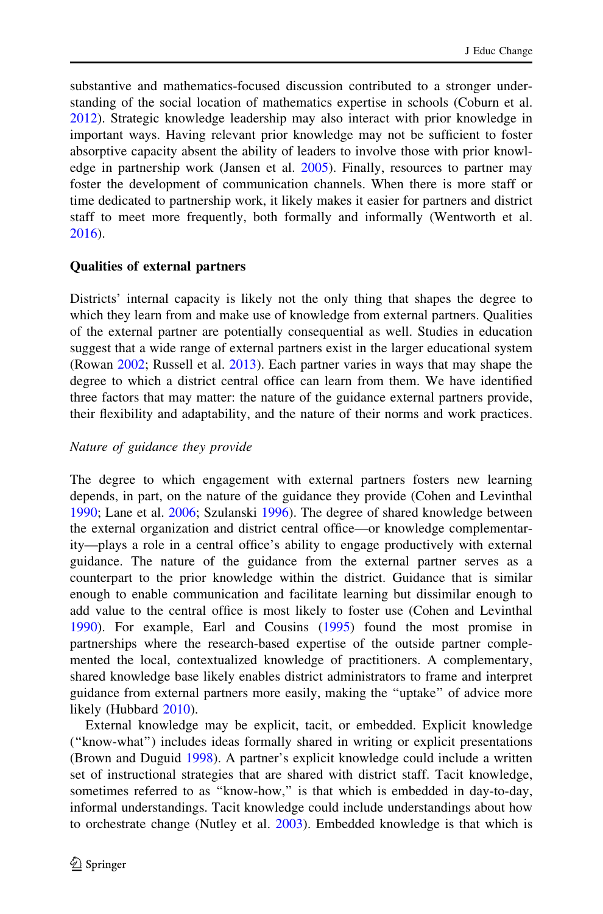substantive and mathematics-focused discussion contributed to a stronger understanding of the social location of mathematics expertise in schools (Coburn et al. [2012\)](#page-20-0). Strategic knowledge leadership may also interact with prior knowledge in important ways. Having relevant prior knowledge may not be sufficient to foster absorptive capacity absent the ability of leaders to involve those with prior knowledge in partnership work (Jansen et al. [2005\)](#page-22-0). Finally, resources to partner may foster the development of communication channels. When there is more staff or time dedicated to partnership work, it likely makes it easier for partners and district staff to meet more frequently, both formally and informally (Wentworth et al. [2016\)](#page-24-0).

# Qualities of external partners

Districts' internal capacity is likely not the only thing that shapes the degree to which they learn from and make use of knowledge from external partners. Qualities of the external partner are potentially consequential as well. Studies in education suggest that a wide range of external partners exist in the larger educational system (Rowan [2002;](#page-23-0) Russell et al. [2013](#page-23-0)). Each partner varies in ways that may shape the degree to which a district central office can learn from them. We have identified three factors that may matter: the nature of the guidance external partners provide, their flexibility and adaptability, and the nature of their norms and work practices.

# Nature of guidance they provide

The degree to which engagement with external partners fosters new learning depends, in part, on the nature of the guidance they provide (Cohen and Levinthal [1990;](#page-20-0) Lane et al. [2006;](#page-22-0) Szulanski [1996\)](#page-23-0). The degree of shared knowledge between the external organization and district central office—or knowledge complementarity—plays a role in a central office's ability to engage productively with external guidance. The nature of the guidance from the external partner serves as a counterpart to the prior knowledge within the district. Guidance that is similar enough to enable communication and facilitate learning but dissimilar enough to add value to the central office is most likely to foster use (Cohen and Levinthal [1990\)](#page-20-0). For example, Earl and Cousins [\(1995](#page-20-0)) found the most promise in partnerships where the research-based expertise of the outside partner complemented the local, contextualized knowledge of practitioners. A complementary, shared knowledge base likely enables district administrators to frame and interpret guidance from external partners more easily, making the ''uptake'' of advice more likely (Hubbard [2010\)](#page-21-0).

External knowledge may be explicit, tacit, or embedded. Explicit knowledge (''know-what'') includes ideas formally shared in writing or explicit presentations (Brown and Duguid [1998](#page-19-0)). A partner's explicit knowledge could include a written set of instructional strategies that are shared with district staff. Tacit knowledge, sometimes referred to as "know-how," is that which is embedded in day-to-day, informal understandings. Tacit knowledge could include understandings about how to orchestrate change (Nutley et al. [2003\)](#page-22-0). Embedded knowledge is that which is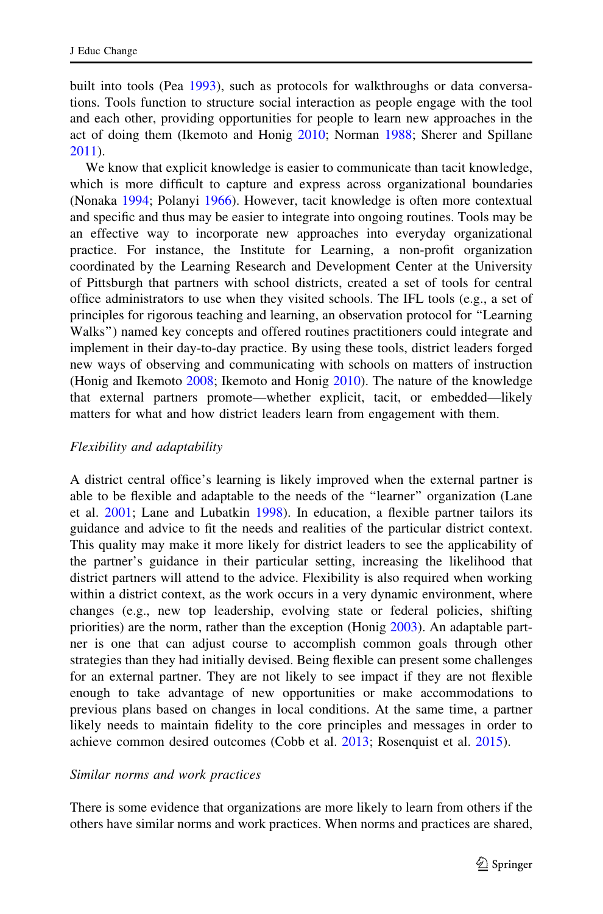built into tools (Pea [1993\)](#page-23-0), such as protocols for walkthroughs or data conversations. Tools function to structure social interaction as people engage with the tool and each other, providing opportunities for people to learn new approaches in the act of doing them (Ikemoto and Honig [2010](#page-21-0); Norman [1988](#page-22-0); Sherer and Spillane [2011\)](#page-23-0).

We know that explicit knowledge is easier to communicate than tacit knowledge, which is more difficult to capture and express across organizational boundaries (Nonaka [1994;](#page-22-0) Polanyi [1966\)](#page-23-0). However, tacit knowledge is often more contextual and specific and thus may be easier to integrate into ongoing routines. Tools may be an effective way to incorporate new approaches into everyday organizational practice. For instance, the Institute for Learning, a non-profit organization coordinated by the Learning Research and Development Center at the University of Pittsburgh that partners with school districts, created a set of tools for central office administrators to use when they visited schools. The IFL tools (e.g., a set of principles for rigorous teaching and learning, an observation protocol for ''Learning Walks'') named key concepts and offered routines practitioners could integrate and implement in their day-to-day practice. By using these tools, district leaders forged new ways of observing and communicating with schools on matters of instruction (Honig and Ikemoto [2008;](#page-21-0) Ikemoto and Honig [2010\)](#page-21-0). The nature of the knowledge that external partners promote—whether explicit, tacit, or embedded—likely matters for what and how district leaders learn from engagement with them.

#### Flexibility and adaptability

A district central office's learning is likely improved when the external partner is able to be flexible and adaptable to the needs of the ''learner'' organization (Lane et al. [2001](#page-22-0); Lane and Lubatkin [1998](#page-22-0)). In education, a flexible partner tailors its guidance and advice to fit the needs and realities of the particular district context. This quality may make it more likely for district leaders to see the applicability of the partner's guidance in their particular setting, increasing the likelihood that district partners will attend to the advice. Flexibility is also required when working within a district context, as the work occurs in a very dynamic environment, where changes (e.g., new top leadership, evolving state or federal policies, shifting priorities) are the norm, rather than the exception (Honig [2003](#page-21-0)). An adaptable partner is one that can adjust course to accomplish common goals through other strategies than they had initially devised. Being flexible can present some challenges for an external partner. They are not likely to see impact if they are not flexible enough to take advantage of new opportunities or make accommodations to previous plans based on changes in local conditions. At the same time, a partner likely needs to maintain fidelity to the core principles and messages in order to achieve common desired outcomes (Cobb et al. [2013](#page-19-0); Rosenquist et al. [2015\)](#page-23-0).

### Similar norms and work practices

There is some evidence that organizations are more likely to learn from others if the others have similar norms and work practices. When norms and practices are shared,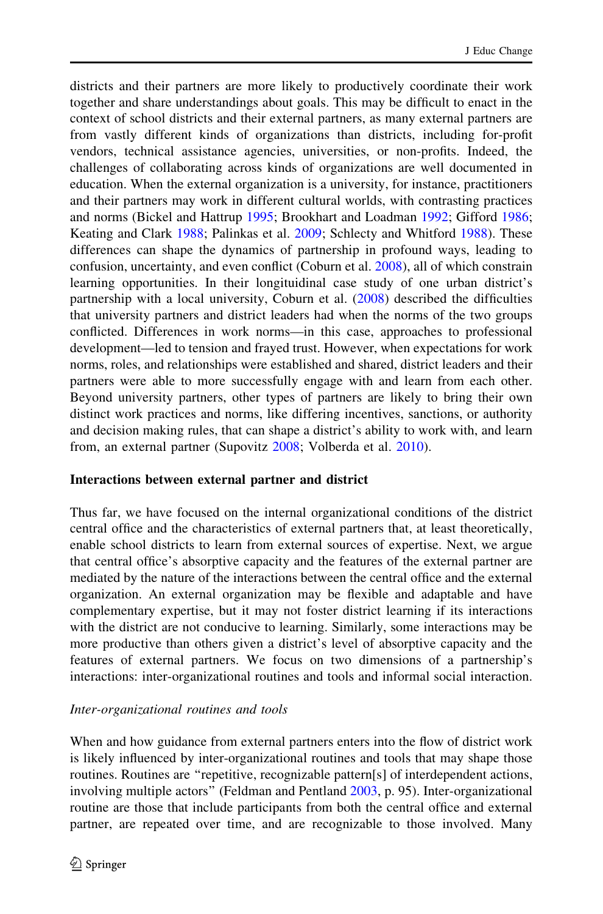districts and their partners are more likely to productively coordinate their work together and share understandings about goals. This may be difficult to enact in the context of school districts and their external partners, as many external partners are from vastly different kinds of organizations than districts, including for-profit vendors, technical assistance agencies, universities, or non-profits. Indeed, the challenges of collaborating across kinds of organizations are well documented in education. When the external organization is a university, for instance, practitioners and their partners may work in different cultural worlds, with contrasting practices and norms (Bickel and Hattrup [1995;](#page-19-0) Brookhart and Loadman [1992;](#page-19-0) Gifford [1986;](#page-21-0) Keating and Clark [1988;](#page-22-0) Palinkas et al. [2009;](#page-22-0) Schlecty and Whitford [1988\)](#page-23-0). These differences can shape the dynamics of partnership in profound ways, leading to confusion, uncertainty, and even conflict (Coburn et al. [2008](#page-20-0)), all of which constrain learning opportunities. In their longituidinal case study of one urban district's partnership with a local university, Coburn et al. [\(2008](#page-20-0)) described the difficulties that university partners and district leaders had when the norms of the two groups conflicted. Differences in work norms—in this case, approaches to professional development—led to tension and frayed trust. However, when expectations for work norms, roles, and relationships were established and shared, district leaders and their partners were able to more successfully engage with and learn from each other. Beyond university partners, other types of partners are likely to bring their own distinct work practices and norms, like differing incentives, sanctions, or authority and decision making rules, that can shape a district's ability to work with, and learn from, an external partner (Supovitz [2008;](#page-23-0) Volberda et al. [2010\)](#page-24-0).

# Interactions between external partner and district

Thus far, we have focused on the internal organizational conditions of the district central office and the characteristics of external partners that, at least theoretically, enable school districts to learn from external sources of expertise. Next, we argue that central office's absorptive capacity and the features of the external partner are mediated by the nature of the interactions between the central office and the external organization. An external organization may be flexible and adaptable and have complementary expertise, but it may not foster district learning if its interactions with the district are not conducive to learning. Similarly, some interactions may be more productive than others given a district's level of absorptive capacity and the features of external partners. We focus on two dimensions of a partnership's interactions: inter-organizational routines and tools and informal social interaction.

# Inter-organizational routines and tools

When and how guidance from external partners enters into the flow of district work is likely influenced by inter-organizational routines and tools that may shape those routines. Routines are ''repetitive, recognizable pattern[s] of interdependent actions, involving multiple actors'' (Feldman and Pentland [2003](#page-20-0), p. 95). Inter-organizational routine are those that include participants from both the central office and external partner, are repeated over time, and are recognizable to those involved. Many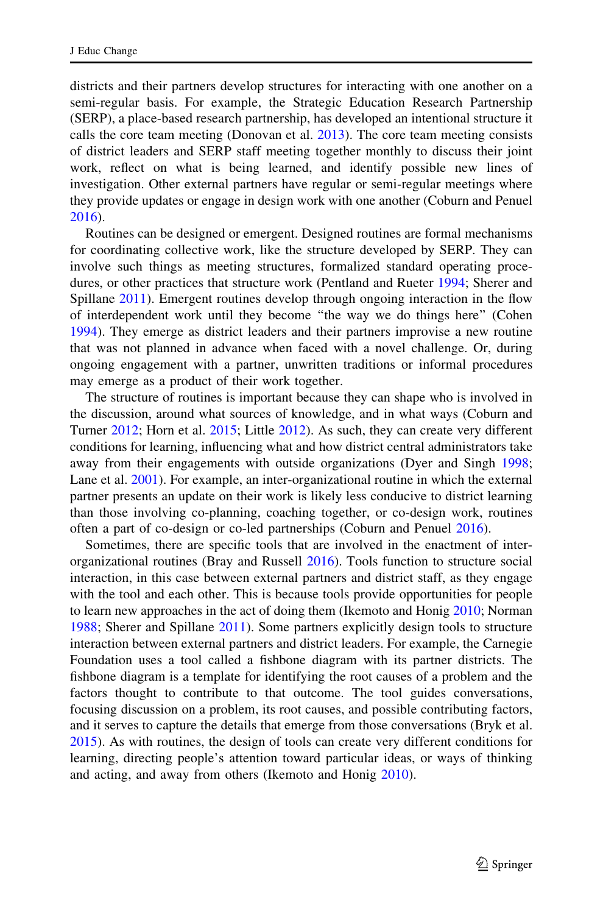districts and their partners develop structures for interacting with one another on a semi-regular basis. For example, the Strategic Education Research Partnership (SERP), a place-based research partnership, has developed an intentional structure it calls the core team meeting (Donovan et al. [2013](#page-20-0)). The core team meeting consists of district leaders and SERP staff meeting together monthly to discuss their joint work, reflect on what is being learned, and identify possible new lines of investigation. Other external partners have regular or semi-regular meetings where they provide updates or engage in design work with one another (Coburn and Penuel [2016\)](#page-19-0).

Routines can be designed or emergent. Designed routines are formal mechanisms for coordinating collective work, like the structure developed by SERP. They can involve such things as meeting structures, formalized standard operating procedures, or other practices that structure work (Pentland and Rueter [1994](#page-23-0); Sherer and Spillane [2011\)](#page-23-0). Emergent routines develop through ongoing interaction in the flow of interdependent work until they become "the way we do things here" (Cohen [1994\)](#page-20-0). They emerge as district leaders and their partners improvise a new routine that was not planned in advance when faced with a novel challenge. Or, during ongoing engagement with a partner, unwritten traditions or informal procedures may emerge as a product of their work together.

The structure of routines is important because they can shape who is involved in the discussion, around what sources of knowledge, and in what ways (Coburn and Turner [2012](#page-20-0); Horn et al. [2015;](#page-21-0) Little [2012](#page-22-0)). As such, they can create very different conditions for learning, influencing what and how district central administrators take away from their engagements with outside organizations (Dyer and Singh [1998;](#page-20-0) Lane et al. [2001\)](#page-22-0). For example, an inter-organizational routine in which the external partner presents an update on their work is likely less conducive to district learning than those involving co-planning, coaching together, or co-design work, routines often a part of co-design or co-led partnerships (Coburn and Penuel [2016\)](#page-19-0).

Sometimes, there are specific tools that are involved in the enactment of interorganizational routines (Bray and Russell [2016\)](#page-19-0). Tools function to structure social interaction, in this case between external partners and district staff, as they engage with the tool and each other. This is because tools provide opportunities for people to learn new approaches in the act of doing them (Ikemoto and Honig [2010](#page-21-0); Norman [1988;](#page-22-0) Sherer and Spillane [2011\)](#page-23-0). Some partners explicitly design tools to structure interaction between external partners and district leaders. For example, the Carnegie Foundation uses a tool called a fishbone diagram with its partner districts. The fishbone diagram is a template for identifying the root causes of a problem and the factors thought to contribute to that outcome. The tool guides conversations, focusing discussion on a problem, its root causes, and possible contributing factors, and it serves to capture the details that emerge from those conversations (Bryk et al. [2015\)](#page-19-0). As with routines, the design of tools can create very different conditions for learning, directing people's attention toward particular ideas, or ways of thinking and acting, and away from others (Ikemoto and Honig [2010\)](#page-21-0).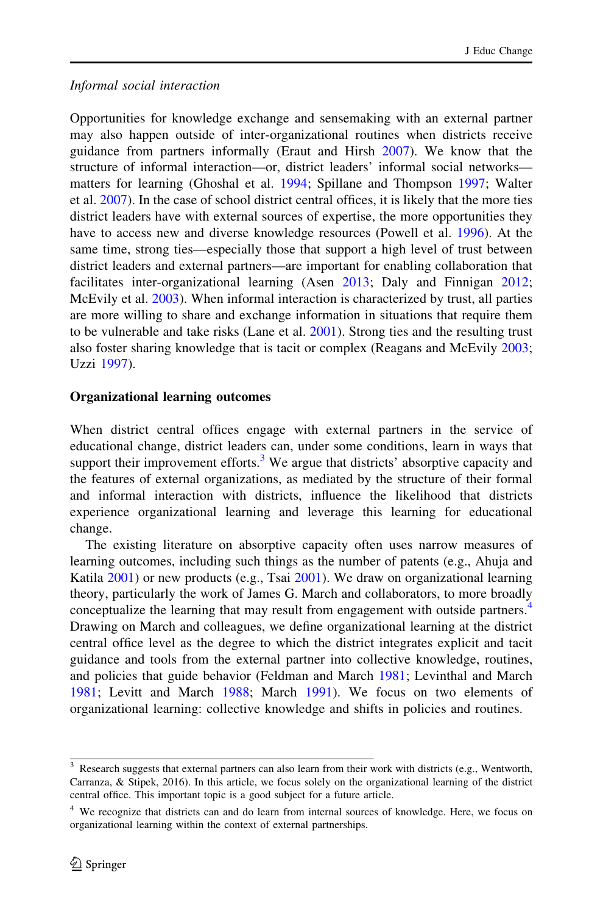# Informal social interaction

Opportunities for knowledge exchange and sensemaking with an external partner may also happen outside of inter-organizational routines when districts receive guidance from partners informally (Eraut and Hirsh [2007\)](#page-20-0). We know that the structure of informal interaction—or, district leaders' informal social networks matters for learning (Ghoshal et al. [1994](#page-21-0); Spillane and Thompson [1997;](#page-23-0) Walter et al. [2007\)](#page-24-0). In the case of school district central offices, it is likely that the more ties district leaders have with external sources of expertise, the more opportunities they have to access new and diverse knowledge resources (Powell et al. [1996](#page-23-0)). At the same time, strong ties—especially those that support a high level of trust between district leaders and external partners—are important for enabling collaboration that facilitates inter-organizational learning (Asen [2013;](#page-19-0) Daly and Finnigan [2012;](#page-20-0) McEvily et al. [2003\)](#page-22-0). When informal interaction is characterized by trust, all parties are more willing to share and exchange information in situations that require them to be vulnerable and take risks (Lane et al. [2001\)](#page-22-0). Strong ties and the resulting trust also foster sharing knowledge that is tacit or complex (Reagans and McEvily [2003;](#page-23-0) Uzzi [1997](#page-24-0)).

# Organizational learning outcomes

When district central offices engage with external partners in the service of educational change, district leaders can, under some conditions, learn in ways that support their improvement efforts. $3$  We argue that districts' absorptive capacity and the features of external organizations, as mediated by the structure of their formal and informal interaction with districts, influence the likelihood that districts experience organizational learning and leverage this learning for educational change.

The existing literature on absorptive capacity often uses narrow measures of learning outcomes, including such things as the number of patents (e.g., Ahuja and Katila [2001](#page-19-0)) or new products (e.g., Tsai [2001\)](#page-24-0). We draw on organizational learning theory, particularly the work of James G. March and collaborators, to more broadly conceptualize the learning that may result from engagement with outside partners.<sup>4</sup> Drawing on March and colleagues, we define organizational learning at the district central office level as the degree to which the district integrates explicit and tacit guidance and tools from the external partner into collective knowledge, routines, and policies that guide behavior (Feldman and March [1981;](#page-20-0) Levinthal and March [1981;](#page-22-0) Levitt and March [1988;](#page-22-0) March [1991\)](#page-22-0). We focus on two elements of organizational learning: collective knowledge and shifts in policies and routines.

<sup>&</sup>lt;sup>3</sup> Research suggests that external partners can also learn from their work with districts (e.g., Wentworth, Carranza, & Stipek, 2016). In this article, we focus solely on the organizational learning of the district central office. This important topic is a good subject for a future article.

<sup>&</sup>lt;sup>4</sup> We recognize that districts can and do learn from internal sources of knowledge. Here, we focus on organizational learning within the context of external partnerships.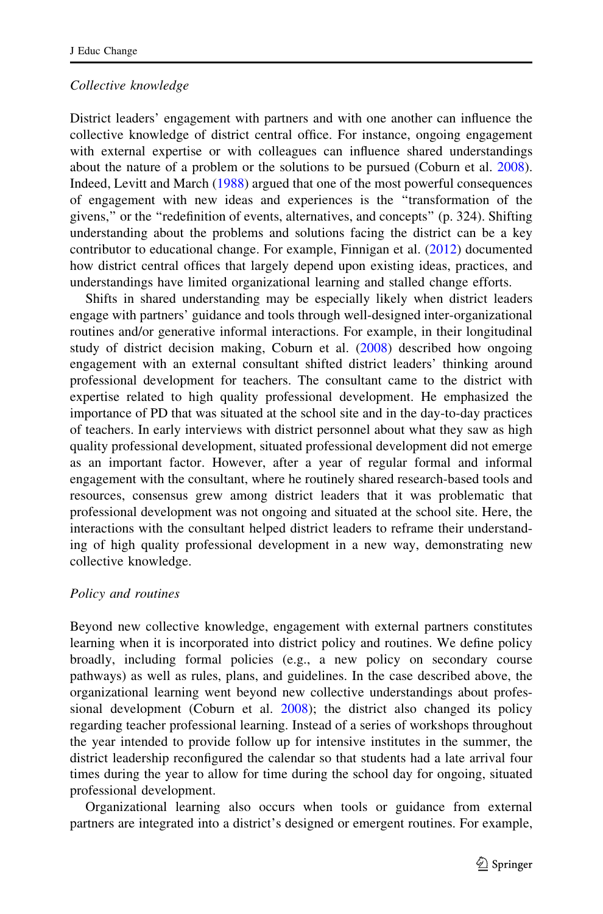#### Collective knowledge

District leaders' engagement with partners and with one another can influence the collective knowledge of district central office. For instance, ongoing engagement with external expertise or with colleagues can influence shared understandings about the nature of a problem or the solutions to be pursued (Coburn et al. [2008\)](#page-20-0). Indeed, Levitt and March [\(1988](#page-22-0)) argued that one of the most powerful consequences of engagement with new ideas and experiences is the ''transformation of the givens,'' or the ''redefinition of events, alternatives, and concepts'' (p. 324). Shifting understanding about the problems and solutions facing the district can be a key contributor to educational change. For example, Finnigan et al. [\(2012](#page-20-0)) documented how district central offices that largely depend upon existing ideas, practices, and understandings have limited organizational learning and stalled change efforts.

Shifts in shared understanding may be especially likely when district leaders engage with partners' guidance and tools through well-designed inter-organizational routines and/or generative informal interactions. For example, in their longitudinal study of district decision making, Coburn et al. ([2008\)](#page-20-0) described how ongoing engagement with an external consultant shifted district leaders' thinking around professional development for teachers. The consultant came to the district with expertise related to high quality professional development. He emphasized the importance of PD that was situated at the school site and in the day-to-day practices of teachers. In early interviews with district personnel about what they saw as high quality professional development, situated professional development did not emerge as an important factor. However, after a year of regular formal and informal engagement with the consultant, where he routinely shared research-based tools and resources, consensus grew among district leaders that it was problematic that professional development was not ongoing and situated at the school site. Here, the interactions with the consultant helped district leaders to reframe their understanding of high quality professional development in a new way, demonstrating new collective knowledge.

#### Policy and routines

Beyond new collective knowledge, engagement with external partners constitutes learning when it is incorporated into district policy and routines. We define policy broadly, including formal policies (e.g., a new policy on secondary course pathways) as well as rules, plans, and guidelines. In the case described above, the organizational learning went beyond new collective understandings about professional development (Coburn et al. [2008\)](#page-20-0); the district also changed its policy regarding teacher professional learning. Instead of a series of workshops throughout the year intended to provide follow up for intensive institutes in the summer, the district leadership reconfigured the calendar so that students had a late arrival four times during the year to allow for time during the school day for ongoing, situated professional development.

Organizational learning also occurs when tools or guidance from external partners are integrated into a district's designed or emergent routines. For example,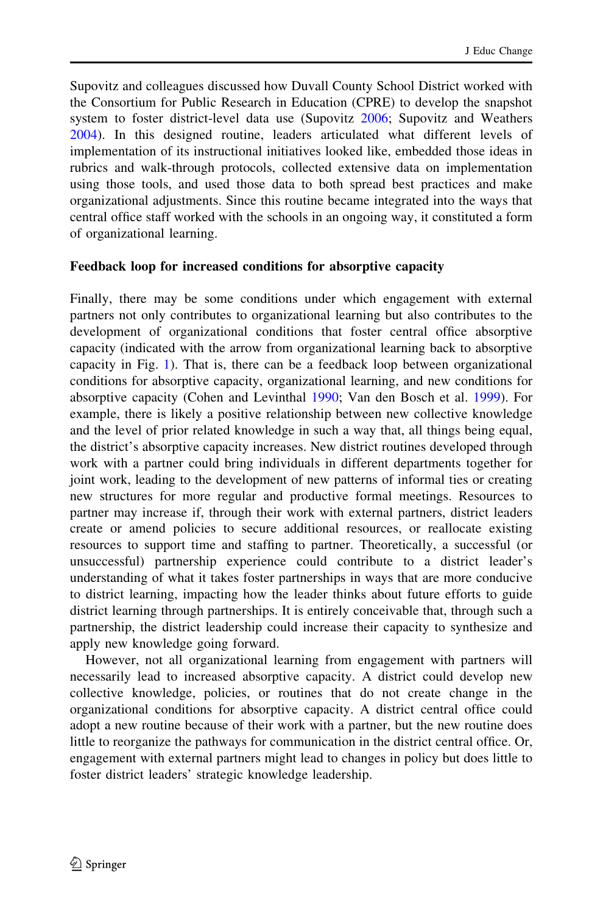Supovitz and colleagues discussed how Duvall County School District worked with the Consortium for Public Research in Education (CPRE) to develop the snapshot system to foster district-level data use (Supovitz [2006](#page-23-0); Supovitz and Weathers [2004\)](#page-23-0). In this designed routine, leaders articulated what different levels of implementation of its instructional initiatives looked like, embedded those ideas in rubrics and walk-through protocols, collected extensive data on implementation using those tools, and used those data to both spread best practices and make organizational adjustments. Since this routine became integrated into the ways that central office staff worked with the schools in an ongoing way, it constituted a form of organizational learning.

# Feedback loop for increased conditions for absorptive capacity

Finally, there may be some conditions under which engagement with external partners not only contributes to organizational learning but also contributes to the development of organizational conditions that foster central office absorptive capacity (indicated with the arrow from organizational learning back to absorptive capacity in Fig. [1](#page-5-0)). That is, there can be a feedback loop between organizational conditions for absorptive capacity, organizational learning, and new conditions for absorptive capacity (Cohen and Levinthal [1990;](#page-20-0) Van den Bosch et al. [1999\)](#page-24-0). For example, there is likely a positive relationship between new collective knowledge and the level of prior related knowledge in such a way that, all things being equal, the district's absorptive capacity increases. New district routines developed through work with a partner could bring individuals in different departments together for joint work, leading to the development of new patterns of informal ties or creating new structures for more regular and productive formal meetings. Resources to partner may increase if, through their work with external partners, district leaders create or amend policies to secure additional resources, or reallocate existing resources to support time and staffing to partner. Theoretically, a successful (or unsuccessful) partnership experience could contribute to a district leader's understanding of what it takes foster partnerships in ways that are more conducive to district learning, impacting how the leader thinks about future efforts to guide district learning through partnerships. It is entirely conceivable that, through such a partnership, the district leadership could increase their capacity to synthesize and apply new knowledge going forward.

However, not all organizational learning from engagement with partners will necessarily lead to increased absorptive capacity. A district could develop new collective knowledge, policies, or routines that do not create change in the organizational conditions for absorptive capacity. A district central office could adopt a new routine because of their work with a partner, but the new routine does little to reorganize the pathways for communication in the district central office. Or, engagement with external partners might lead to changes in policy but does little to foster district leaders' strategic knowledge leadership.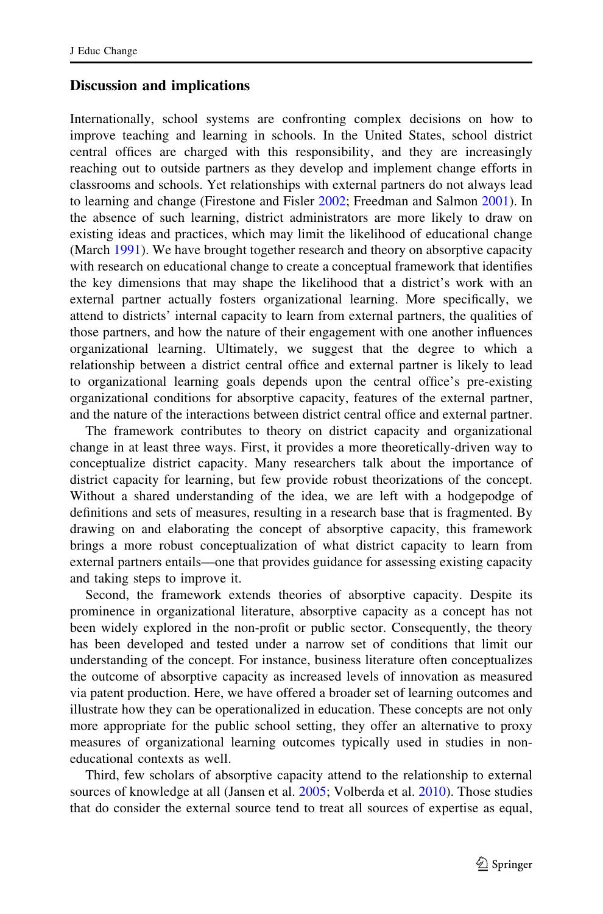# Discussion and implications

Internationally, school systems are confronting complex decisions on how to improve teaching and learning in schools. In the United States, school district central offices are charged with this responsibility, and they are increasingly reaching out to outside partners as they develop and implement change efforts in classrooms and schools. Yet relationships with external partners do not always lead to learning and change (Firestone and Fisler [2002](#page-20-0); Freedman and Salmon [2001](#page-20-0)). In the absence of such learning, district administrators are more likely to draw on existing ideas and practices, which may limit the likelihood of educational change (March [1991\)](#page-22-0). We have brought together research and theory on absorptive capacity with research on educational change to create a conceptual framework that identifies the key dimensions that may shape the likelihood that a district's work with an external partner actually fosters organizational learning. More specifically, we attend to districts' internal capacity to learn from external partners, the qualities of those partners, and how the nature of their engagement with one another influences organizational learning. Ultimately, we suggest that the degree to which a relationship between a district central office and external partner is likely to lead to organizational learning goals depends upon the central office's pre-existing organizational conditions for absorptive capacity, features of the external partner, and the nature of the interactions between district central office and external partner.

The framework contributes to theory on district capacity and organizational change in at least three ways. First, it provides a more theoretically-driven way to conceptualize district capacity. Many researchers talk about the importance of district capacity for learning, but few provide robust theorizations of the concept. Without a shared understanding of the idea, we are left with a hodgepodge of definitions and sets of measures, resulting in a research base that is fragmented. By drawing on and elaborating the concept of absorptive capacity, this framework brings a more robust conceptualization of what district capacity to learn from external partners entails—one that provides guidance for assessing existing capacity and taking steps to improve it.

Second, the framework extends theories of absorptive capacity. Despite its prominence in organizational literature, absorptive capacity as a concept has not been widely explored in the non-profit or public sector. Consequently, the theory has been developed and tested under a narrow set of conditions that limit our understanding of the concept. For instance, business literature often conceptualizes the outcome of absorptive capacity as increased levels of innovation as measured via patent production. Here, we have offered a broader set of learning outcomes and illustrate how they can be operationalized in education. These concepts are not only more appropriate for the public school setting, they offer an alternative to proxy measures of organizational learning outcomes typically used in studies in noneducational contexts as well.

Third, few scholars of absorptive capacity attend to the relationship to external sources of knowledge at all (Jansen et al. [2005;](#page-22-0) Volberda et al. [2010](#page-24-0)). Those studies that do consider the external source tend to treat all sources of expertise as equal,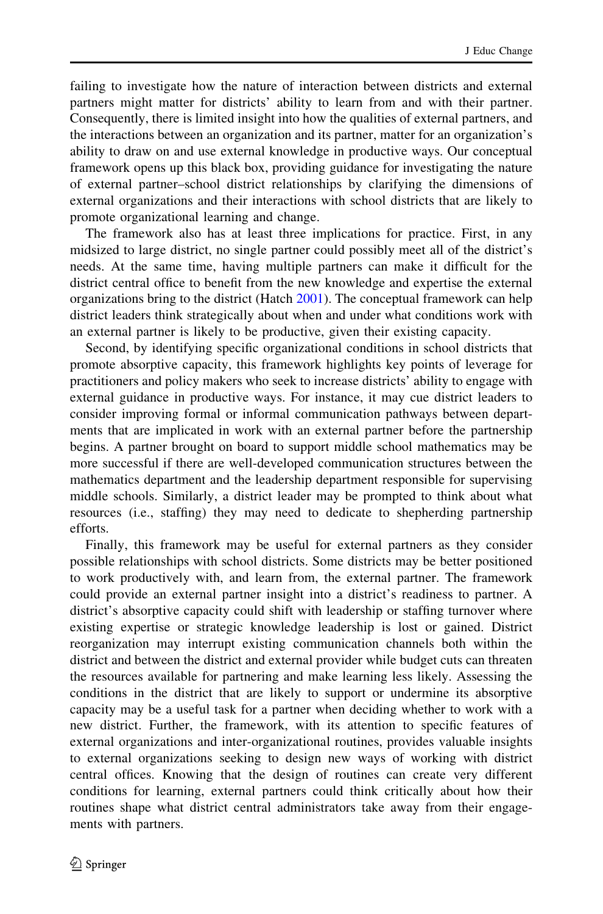failing to investigate how the nature of interaction between districts and external partners might matter for districts' ability to learn from and with their partner. Consequently, there is limited insight into how the qualities of external partners, and the interactions between an organization and its partner, matter for an organization's ability to draw on and use external knowledge in productive ways. Our conceptual framework opens up this black box, providing guidance for investigating the nature of external partner–school district relationships by clarifying the dimensions of external organizations and their interactions with school districts that are likely to promote organizational learning and change.

The framework also has at least three implications for practice. First, in any midsized to large district, no single partner could possibly meet all of the district's needs. At the same time, having multiple partners can make it difficult for the district central office to benefit from the new knowledge and expertise the external organizations bring to the district (Hatch [2001](#page-21-0)). The conceptual framework can help district leaders think strategically about when and under what conditions work with an external partner is likely to be productive, given their existing capacity.

Second, by identifying specific organizational conditions in school districts that promote absorptive capacity, this framework highlights key points of leverage for practitioners and policy makers who seek to increase districts' ability to engage with external guidance in productive ways. For instance, it may cue district leaders to consider improving formal or informal communication pathways between departments that are implicated in work with an external partner before the partnership begins. A partner brought on board to support middle school mathematics may be more successful if there are well-developed communication structures between the mathematics department and the leadership department responsible for supervising middle schools. Similarly, a district leader may be prompted to think about what resources (i.e., staffing) they may need to dedicate to shepherding partnership efforts.

Finally, this framework may be useful for external partners as they consider possible relationships with school districts. Some districts may be better positioned to work productively with, and learn from, the external partner. The framework could provide an external partner insight into a district's readiness to partner. A district's absorptive capacity could shift with leadership or staffing turnover where existing expertise or strategic knowledge leadership is lost or gained. District reorganization may interrupt existing communication channels both within the district and between the district and external provider while budget cuts can threaten the resources available for partnering and make learning less likely. Assessing the conditions in the district that are likely to support or undermine its absorptive capacity may be a useful task for a partner when deciding whether to work with a new district. Further, the framework, with its attention to specific features of external organizations and inter-organizational routines, provides valuable insights to external organizations seeking to design new ways of working with district central offices. Knowing that the design of routines can create very different conditions for learning, external partners could think critically about how their routines shape what district central administrators take away from their engagements with partners.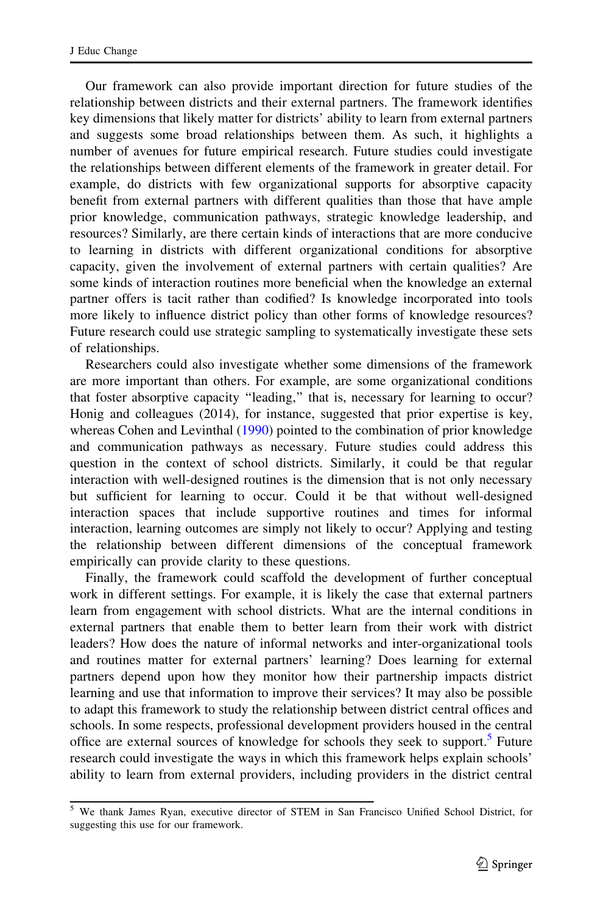Our framework can also provide important direction for future studies of the relationship between districts and their external partners. The framework identifies key dimensions that likely matter for districts' ability to learn from external partners and suggests some broad relationships between them. As such, it highlights a number of avenues for future empirical research. Future studies could investigate the relationships between different elements of the framework in greater detail. For example, do districts with few organizational supports for absorptive capacity benefit from external partners with different qualities than those that have ample prior knowledge, communication pathways, strategic knowledge leadership, and resources? Similarly, are there certain kinds of interactions that are more conducive to learning in districts with different organizational conditions for absorptive capacity, given the involvement of external partners with certain qualities? Are some kinds of interaction routines more beneficial when the knowledge an external partner offers is tacit rather than codified? Is knowledge incorporated into tools more likely to influence district policy than other forms of knowledge resources? Future research could use strategic sampling to systematically investigate these sets of relationships.

Researchers could also investigate whether some dimensions of the framework are more important than others. For example, are some organizational conditions that foster absorptive capacity ''leading,'' that is, necessary for learning to occur? Honig and colleagues (2014), for instance, suggested that prior expertise is key, whereas Cohen and Levinthal ([1990\)](#page-20-0) pointed to the combination of prior knowledge and communication pathways as necessary. Future studies could address this question in the context of school districts. Similarly, it could be that regular interaction with well-designed routines is the dimension that is not only necessary but sufficient for learning to occur. Could it be that without well-designed interaction spaces that include supportive routines and times for informal interaction, learning outcomes are simply not likely to occur? Applying and testing the relationship between different dimensions of the conceptual framework empirically can provide clarity to these questions.

Finally, the framework could scaffold the development of further conceptual work in different settings. For example, it is likely the case that external partners learn from engagement with school districts. What are the internal conditions in external partners that enable them to better learn from their work with district leaders? How does the nature of informal networks and inter-organizational tools and routines matter for external partners' learning? Does learning for external partners depend upon how they monitor how their partnership impacts district learning and use that information to improve their services? It may also be possible to adapt this framework to study the relationship between district central offices and schools. In some respects, professional development providers housed in the central office are external sources of knowledge for schools they seek to support.<sup>5</sup> Future research could investigate the ways in which this framework helps explain schools' ability to learn from external providers, including providers in the district central

<sup>5</sup> We thank James Ryan, executive director of STEM in San Francisco Unified School District, for suggesting this use for our framework.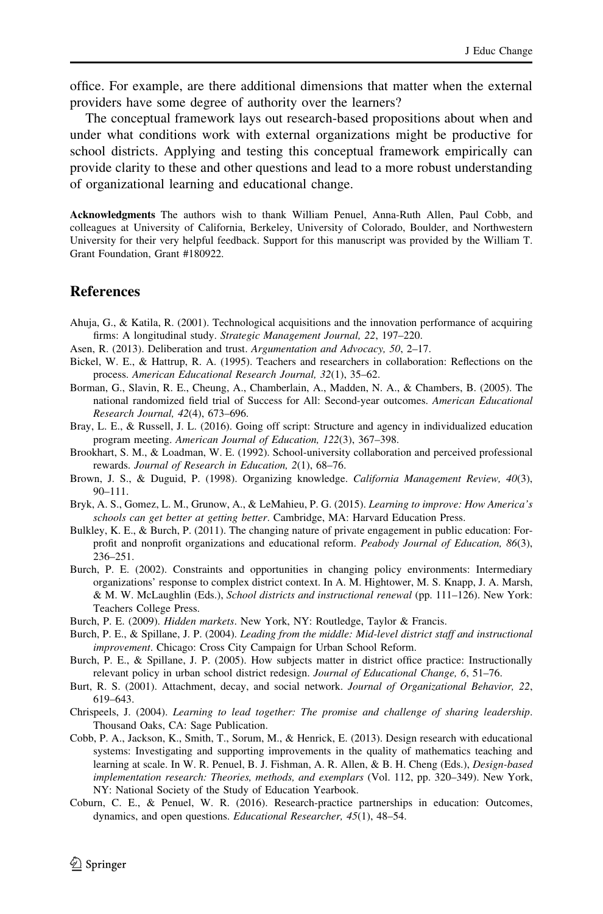<span id="page-19-0"></span>office. For example, are there additional dimensions that matter when the external providers have some degree of authority over the learners?

The conceptual framework lays out research-based propositions about when and under what conditions work with external organizations might be productive for school districts. Applying and testing this conceptual framework empirically can provide clarity to these and other questions and lead to a more robust understanding of organizational learning and educational change.

Acknowledgments The authors wish to thank William Penuel, Anna-Ruth Allen, Paul Cobb, and colleagues at University of California, Berkeley, University of Colorado, Boulder, and Northwestern University for their very helpful feedback. Support for this manuscript was provided by the William T. Grant Foundation, Grant #180922.

## References

- Ahuja, G., & Katila, R. (2001). Technological acquisitions and the innovation performance of acquiring firms: A longitudinal study. Strategic Management Journal, 22, 197–220.
- Asen, R. (2013). Deliberation and trust. Argumentation and Advocacy, 50, 2–17.
- Bickel, W. E., & Hattrup, R. A. (1995). Teachers and researchers in collaboration: Reflections on the process. American Educational Research Journal, 32(1), 35–62.
- Borman, G., Slavin, R. E., Cheung, A., Chamberlain, A., Madden, N. A., & Chambers, B. (2005). The national randomized field trial of Success for All: Second-year outcomes. American Educational Research Journal, 42(4), 673–696.
- Bray, L. E., & Russell, J. L. (2016). Going off script: Structure and agency in individualized education program meeting. American Journal of Education, 122(3), 367–398.
- Brookhart, S. M., & Loadman, W. E. (1992). School-university collaboration and perceived professional rewards. Journal of Research in Education, 2(1), 68–76.
- Brown, J. S., & Duguid, P. (1998). Organizing knowledge. California Management Review, 40(3), 90–111.
- Bryk, A. S., Gomez, L. M., Grunow, A., & LeMahieu, P. G. (2015). Learning to improve: How America's schools can get better at getting better. Cambridge, MA: Harvard Education Press.
- Bulkley, K. E., & Burch, P. (2011). The changing nature of private engagement in public education: Forprofit and nonprofit organizations and educational reform. Peabody Journal of Education, 86(3), 236–251.
- Burch, P. E. (2002). Constraints and opportunities in changing policy environments: Intermediary organizations' response to complex district context. In A. M. Hightower, M. S. Knapp, J. A. Marsh, & M. W. McLaughlin (Eds.), School districts and instructional renewal (pp. 111–126). New York: Teachers College Press.
- Burch, P. E. (2009). Hidden markets. New York, NY: Routledge, Taylor & Francis.
- Burch, P. E., & Spillane, J. P. (2004). Leading from the middle: Mid-level district staff and instructional improvement. Chicago: Cross City Campaign for Urban School Reform.
- Burch, P. E., & Spillane, J. P. (2005). How subjects matter in district office practice: Instructionally relevant policy in urban school district redesign. Journal of Educational Change, 6, 51–76.
- Burt, R. S. (2001). Attachment, decay, and social network. Journal of Organizational Behavior, 22, 619–643.
- Chrispeels, J. (2004). Learning to lead together: The promise and challenge of sharing leadership. Thousand Oaks, CA: Sage Publication.
- Cobb, P. A., Jackson, K., Smith, T., Sorum, M., & Henrick, E. (2013). Design research with educational systems: Investigating and supporting improvements in the quality of mathematics teaching and learning at scale. In W. R. Penuel, B. J. Fishman, A. R. Allen, & B. H. Cheng (Eds.), Design-based implementation research: Theories, methods, and exemplars (Vol. 112, pp. 320–349). New York, NY: National Society of the Study of Education Yearbook.
- Coburn, C. E., & Penuel, W. R. (2016). Research-practice partnerships in education: Outcomes, dynamics, and open questions. Educational Researcher, 45(1), 48–54.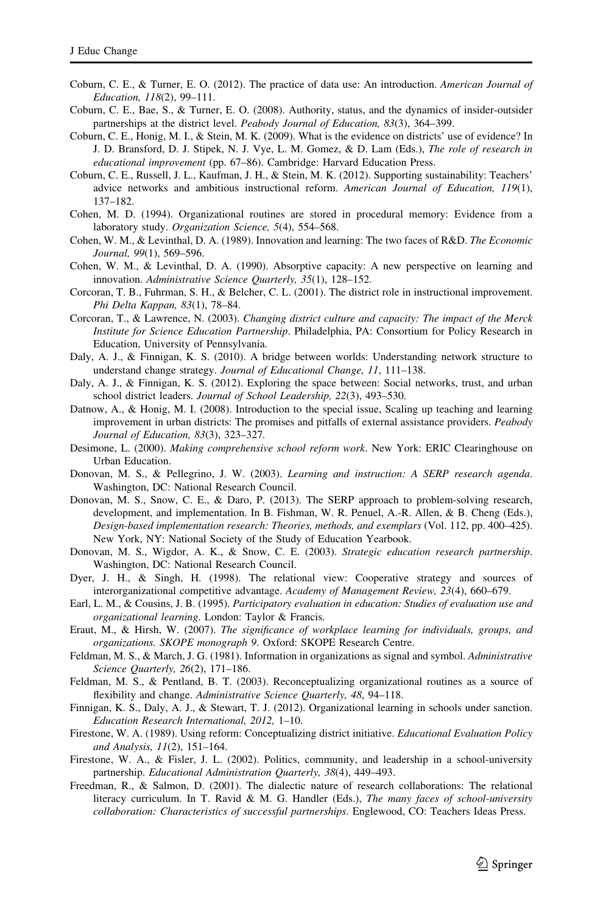- <span id="page-20-0"></span>Coburn, C. E., & Turner, E. O. (2012). The practice of data use: An introduction. American Journal of Education, 118(2), 99–111.
- Coburn, C. E., Bae, S., & Turner, E. O. (2008). Authority, status, and the dynamics of insider-outsider partnerships at the district level. Peabody Journal of Education, 83(3), 364–399.
- Coburn, C. E., Honig, M. I., & Stein, M. K. (2009). What is the evidence on districts' use of evidence? In J. D. Bransford, D. J. Stipek, N. J. Vye, L. M. Gomez, & D. Lam (Eds.), The role of research in educational improvement (pp. 67–86). Cambridge: Harvard Education Press.
- Coburn, C. E., Russell, J. L., Kaufman, J. H., & Stein, M. K. (2012). Supporting sustainability: Teachers' advice networks and ambitious instructional reform. American Journal of Education, 119(1), 137–182.
- Cohen, M. D. (1994). Organizational routines are stored in procedural memory: Evidence from a laboratory study. *Organization Science*, 5(4), 554–568.
- Cohen, W. M., & Levinthal, D. A. (1989). Innovation and learning: The two faces of R&D. The Economic Journal, 99(1), 569–596.
- Cohen, W. M., & Levinthal, D. A. (1990). Absorptive capacity: A new perspective on learning and innovation. Administrative Science Quarterly, 35(1), 128–152.
- Corcoran, T. B., Fuhrman, S. H., & Belcher, C. L. (2001). The district role in instructional improvement. Phi Delta Kappan, 83(1), 78–84.
- Corcoran, T., & Lawrence, N. (2003). Changing district culture and capacity: The impact of the Merck Institute for Science Education Partnership. Philadelphia, PA: Consortium for Policy Research in Education, University of Pennsylvania.
- Daly, A. J., & Finnigan, K. S. (2010). A bridge between worlds: Understanding network structure to understand change strategy. Journal of Educational Change, 11, 111–138.
- Daly, A. J., & Finnigan, K. S. (2012). Exploring the space between: Social networks, trust, and urban school district leaders. Journal of School Leadership, 22(3), 493–530.
- Datnow, A., & Honig, M. I. (2008). Introduction to the special issue, Scaling up teaching and learning improvement in urban districts: The promises and pitfalls of external assistance providers. Peabody Journal of Education, 83(3), 323–327.
- Desimone, L. (2000). Making comprehensive school reform work. New York: ERIC Clearinghouse on Urban Education.
- Donovan, M. S., & Pellegrino, J. W. (2003). Learning and instruction: A SERP research agenda. Washington, DC: National Research Council.
- Donovan, M. S., Snow, C. E., & Daro, P. (2013). The SERP approach to problem-solving research, development, and implementation. In B. Fishman, W. R. Penuel, A.-R. Allen, & B. Cheng (Eds.), Design-based implementation research: Theories, methods, and exemplars (Vol. 112, pp. 400–425). New York, NY: National Society of the Study of Education Yearbook.
- Donovan, M. S., Wigdor, A. K., & Snow, C. E. (2003). Strategic education research partnership. Washington, DC: National Research Council.
- Dyer, J. H., & Singh, H. (1998). The relational view: Cooperative strategy and sources of interorganizational competitive advantage. Academy of Management Review, 23(4), 660–679.
- Earl, L. M., & Cousins, J. B. (1995). Participatory evaluation in education: Studies of evaluation use and organizational learning. London: Taylor & Francis.
- Eraut, M., & Hirsh, W. (2007). The significance of workplace learning for individuals, groups, and organizations. SKOPE monograph 9. Oxford: SKOPE Research Centre.
- Feldman, M. S., & March, J. G. (1981). Information in organizations as signal and symbol. Administrative Science Quarterly, 26(2), 171–186.
- Feldman, M. S., & Pentland, B. T. (2003). Reconceptualizing organizational routines as a source of flexibility and change. Administrative Science Quarterly, 48, 94–118.
- Finnigan, K. S., Daly, A. J., & Stewart, T. J. (2012). Organizational learning in schools under sanction. Education Research International, 2012, 1–10.
- Firestone, W. A. (1989). Using reform: Conceptualizing district initiative. Educational Evaluation Policy and Analysis, 11(2), 151–164.
- Firestone, W. A., & Fisler, J. L. (2002). Politics, community, and leadership in a school-university partnership. Educational Administration Quarterly, 38(4), 449-493.
- Freedman, R., & Salmon, D. (2001). The dialectic nature of research collaborations: The relational literacy curriculum. In T. Ravid & M. G. Handler (Eds.), The many faces of school-university collaboration: Characteristics of successful partnerships. Englewood, CO: Teachers Ideas Press.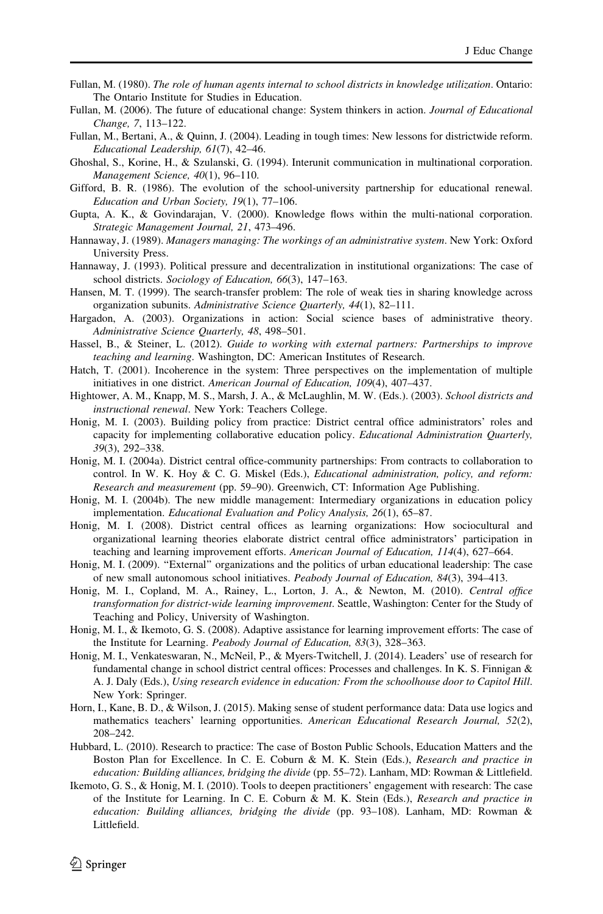- <span id="page-21-0"></span>Fullan, M. (1980). The role of human agents internal to school districts in knowledge utilization. Ontario: The Ontario Institute for Studies in Education.
- Fullan, M. (2006). The future of educational change: System thinkers in action. Journal of Educational Change, 7, 113–122.
- Fullan, M., Bertani, A., & Quinn, J. (2004). Leading in tough times: New lessons for districtwide reform. Educational Leadership, 61(7), 42–46.
- Ghoshal, S., Korine, H., & Szulanski, G. (1994). Interunit communication in multinational corporation. Management Science, 40(1), 96–110.
- Gifford, B. R. (1986). The evolution of the school-university partnership for educational renewal. Education and Urban Society, 19(1), 77–106.
- Gupta, A. K., & Govindarajan, V. (2000). Knowledge flows within the multi-national corporation. Strategic Management Journal, 21, 473–496.
- Hannaway, J. (1989). Managers managing: The workings of an administrative system. New York: Oxford University Press.
- Hannaway, J. (1993). Political pressure and decentralization in institutional organizations: The case of school districts. Sociology of Education, 66(3), 147–163.
- Hansen, M. T. (1999). The search-transfer problem: The role of weak ties in sharing knowledge across organization subunits. Administrative Science Quarterly, 44(1), 82–111.
- Hargadon, A. (2003). Organizations in action: Social science bases of administrative theory. Administrative Science Quarterly, 48, 498–501.
- Hassel, B., & Steiner, L. (2012). Guide to working with external partners: Partnerships to improve teaching and learning. Washington, DC: American Institutes of Research.
- Hatch, T. (2001). Incoherence in the system: Three perspectives on the implementation of multiple initiatives in one district. American Journal of Education, 109(4), 407–437.
- Hightower, A. M., Knapp, M. S., Marsh, J. A., & McLaughlin, M. W. (Eds.). (2003). School districts and instructional renewal. New York: Teachers College.
- Honig, M. I. (2003). Building policy from practice: District central office administrators' roles and capacity for implementing collaborative education policy. Educational Administration Quarterly, 39(3), 292–338.
- Honig, M. I. (2004a). District central office-community partnerships: From contracts to collaboration to control. In W. K. Hoy & C. G. Miskel (Eds.), Educational administration, policy, and reform: Research and measurement (pp. 59–90). Greenwich, CT: Information Age Publishing.
- Honig, M. I. (2004b). The new middle management: Intermediary organizations in education policy implementation. Educational Evaluation and Policy Analysis, 26(1), 65–87.
- Honig, M. I. (2008). District central offices as learning organizations: How sociocultural and organizational learning theories elaborate district central office administrators' participation in teaching and learning improvement efforts. American Journal of Education, 114(4), 627–664.
- Honig, M. I. (2009). "External" organizations and the politics of urban educational leadership: The case of new small autonomous school initiatives. Peabody Journal of Education, 84(3), 394–413.
- Honig, M. I., Copland, M. A., Rainey, L., Lorton, J. A., & Newton, M. (2010). Central office transformation for district-wide learning improvement. Seattle, Washington: Center for the Study of Teaching and Policy, University of Washington.
- Honig, M. I., & Ikemoto, G. S. (2008). Adaptive assistance for learning improvement efforts: The case of the Institute for Learning. Peabody Journal of Education, 83(3), 328–363.
- Honig, M. I., Venkateswaran, N., McNeil, P., & Myers-Twitchell, J. (2014). Leaders' use of research for fundamental change in school district central offices: Processes and challenges. In K. S. Finnigan & A. J. Daly (Eds.), Using research evidence in education: From the schoolhouse door to Capitol Hill. New York: Springer.
- Horn, I., Kane, B. D., & Wilson, J. (2015). Making sense of student performance data: Data use logics and mathematics teachers' learning opportunities. American Educational Research Journal, 52(2), 208–242.
- Hubbard, L. (2010). Research to practice: The case of Boston Public Schools, Education Matters and the Boston Plan for Excellence. In C. E. Coburn & M. K. Stein (Eds.), Research and practice in education: Building alliances, bridging the divide (pp. 55-72). Lanham, MD: Rowman & Littlefield.
- Ikemoto, G. S., & Honig, M. I. (2010). Tools to deepen practitioners' engagement with research: The case of the Institute for Learning. In C. E. Coburn & M. K. Stein (Eds.), Research and practice in education: Building alliances, bridging the divide (pp. 93–108). Lanham, MD: Rowman & Littlefield.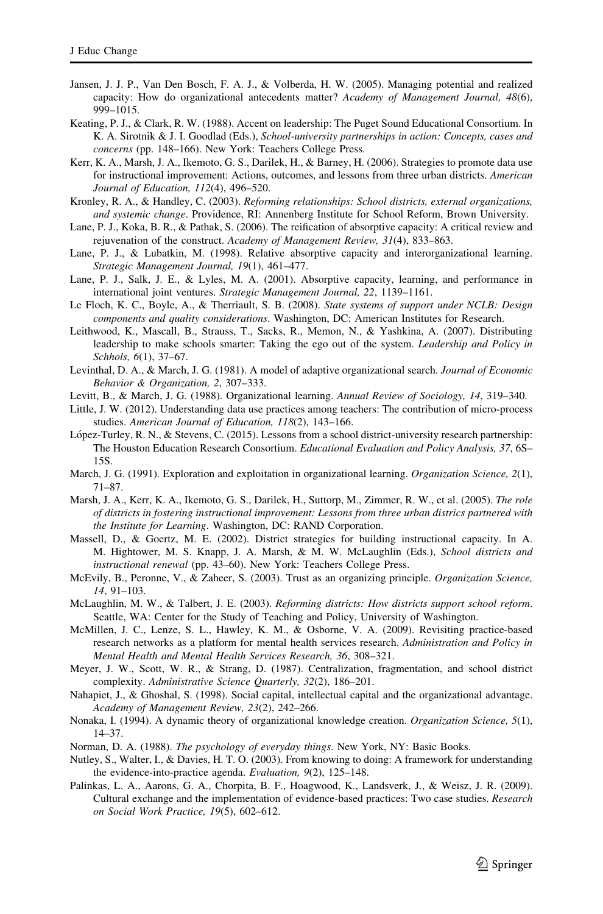- <span id="page-22-0"></span>Jansen, J. J. P., Van Den Bosch, F. A. J., & Volberda, H. W. (2005). Managing potential and realized capacity: How do organizational antecedents matter? Academy of Management Journal, 48(6), 999–1015.
- Keating, P. J., & Clark, R. W. (1988). Accent on leadership: The Puget Sound Educational Consortium. In K. A. Sirotnik & J. I. Goodlad (Eds.), School-university partnerships in action: Concepts, cases and concerns (pp. 148–166). New York: Teachers College Press.
- Kerr, K. A., Marsh, J. A., Ikemoto, G. S., Darilek, H., & Barney, H. (2006). Strategies to promote data use for instructional improvement: Actions, outcomes, and lessons from three urban districts. American Journal of Education, 112(4), 496–520.
- Kronley, R. A., & Handley, C. (2003). Reforming relationships: School districts, external organizations, and systemic change. Providence, RI: Annenberg Institute for School Reform, Brown University.
- Lane, P. J., Koka, B. R., & Pathak, S. (2006). The reification of absorptive capacity: A critical review and rejuvenation of the construct. Academy of Management Review, 31(4), 833–863.
- Lane, P. J., & Lubatkin, M. (1998). Relative absorptive capacity and interorganizational learning. Strategic Management Journal, 19(1), 461–477.
- Lane, P. J., Salk, J. E., & Lyles, M. A. (2001). Absorptive capacity, learning, and performance in international joint ventures. Strategic Management Journal, 22, 1139–1161.
- Le Floch, K. C., Boyle, A., & Therriault, S. B. (2008). State systems of support under NCLB: Design components and quality considerations. Washington, DC: American Institutes for Research.
- Leithwood, K., Mascall, B., Strauss, T., Sacks, R., Memon, N., & Yashkina, A. (2007). Distributing leadership to make schools smarter: Taking the ego out of the system. Leadership and Policy in Schhols, 6(1), 37–67.
- Levinthal, D. A., & March, J. G. (1981). A model of adaptive organizational search. Journal of Economic Behavior & Organization, 2, 307–333.
- Levitt, B., & March, J. G. (1988). Organizational learning. Annual Review of Sociology, 14, 319–340.
- Little, J. W. (2012). Understanding data use practices among teachers: The contribution of micro-process studies. American Journal of Education, 118(2), 143–166.
- López-Turley, R. N., & Stevens, C. (2015). Lessons from a school district-university research partnership: The Houston Education Research Consortium. *Educational Evaluation and Policy Analysis*, 37, 6S-15S.
- March, J. G. (1991). Exploration and exploitation in organizational learning. Organization Science, 2(1), 71–87.
- Marsh, J. A., Kerr, K. A., Ikemoto, G. S., Darilek, H., Suttorp, M., Zimmer, R. W., et al. (2005). The role of districts in fostering instructional improvement: Lessons from three urban districs partnered with the Institute for Learning. Washington, DC: RAND Corporation.
- Massell, D., & Goertz, M. E. (2002). District strategies for building instructional capacity. In A. M. Hightower, M. S. Knapp, J. A. Marsh, & M. W. McLaughlin (Eds.), School districts and instructional renewal (pp. 43–60). New York: Teachers College Press.
- McEvily, B., Peronne, V., & Zaheer, S. (2003). Trust as an organizing principle. Organization Science, 14, 91–103.
- McLaughlin, M. W., & Talbert, J. E. (2003). Reforming districts: How districts support school reform. Seattle, WA: Center for the Study of Teaching and Policy, University of Washington.
- McMillen, J. C., Lenze, S. L., Hawley, K. M., & Osborne, V. A. (2009). Revisiting practice-based research networks as a platform for mental health services research. Administration and Policy in Mental Health and Mental Health Services Research, 36, 308–321.
- Meyer, J. W., Scott, W. R., & Strang, D. (1987). Centralization, fragmentation, and school district complexity. Administrative Science Quarterly, 32(2), 186–201.
- Nahapiet, J., & Ghoshal, S. (1998). Social capital, intellectual capital and the organizational advantage. Academy of Management Review, 23(2), 242–266.
- Nonaka, I. (1994). A dynamic theory of organizational knowledge creation. Organization Science, 5(1), 14–37.
- Norman, D. A. (1988). The psychology of everyday things. New York, NY: Basic Books.
- Nutley, S., Walter, I., & Davies, H. T. O. (2003). From knowing to doing: A framework for understanding the evidence-into-practice agenda. Evaluation, 9(2), 125–148.
- Palinkas, L. A., Aarons, G. A., Chorpita, B. F., Hoagwood, K., Landsverk, J., & Weisz, J. R. (2009). Cultural exchange and the implementation of evidence-based practices: Two case studies. Research on Social Work Practice, 19(5), 602–612.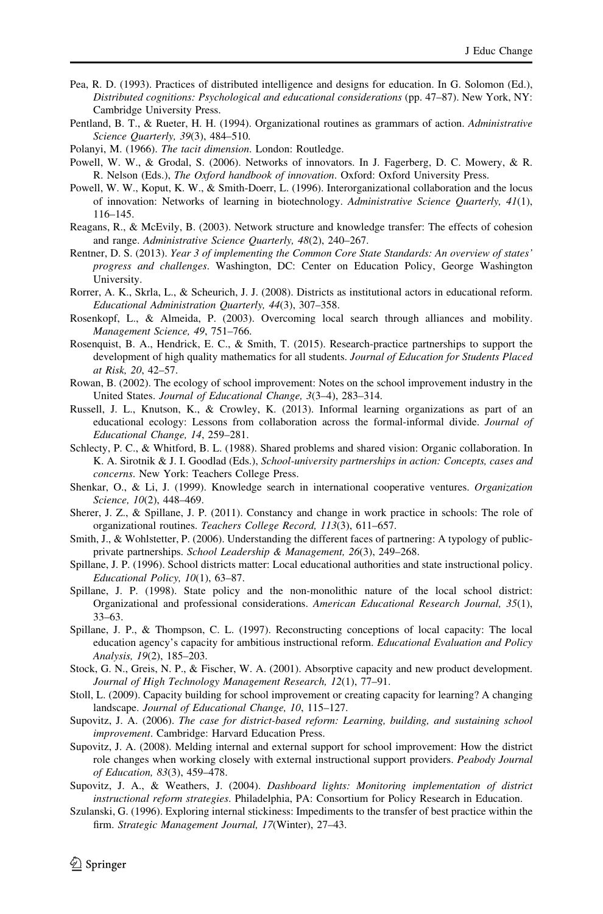- <span id="page-23-0"></span>Pea, R. D. (1993). Practices of distributed intelligence and designs for education. In G. Solomon (Ed.), Distributed cognitions: Psychological and educational considerations (pp. 47–87). New York, NY: Cambridge University Press.
- Pentland, B. T., & Rueter, H. H. (1994). Organizational routines as grammars of action. Administrative Science Quarterly, 39(3), 484–510.
- Polanyi, M. (1966). The tacit dimension. London: Routledge.
- Powell, W. W., & Grodal, S. (2006). Networks of innovators. In J. Fagerberg, D. C. Mowery, & R. R. Nelson (Eds.), The Oxford handbook of innovation. Oxford: Oxford University Press.
- Powell, W. W., Koput, K. W., & Smith-Doerr, L. (1996). Interorganizational collaboration and the locus of innovation: Networks of learning in biotechnology. Administrative Science Quarterly, 41(1), 116–145.
- Reagans, R., & McEvily, B. (2003). Network structure and knowledge transfer: The effects of cohesion and range. Administrative Science Quarterly, 48(2), 240–267.
- Rentner, D. S. (2013). Year 3 of implementing the Common Core State Standards: An overview of states' progress and challenges. Washington, DC: Center on Education Policy, George Washington University.
- Rorrer, A. K., Skrla, L., & Scheurich, J. J. (2008). Districts as institutional actors in educational reform. Educational Administration Quarterly, 44(3), 307–358.
- Rosenkopf, L., & Almeida, P. (2003). Overcoming local search through alliances and mobility. Management Science, 49, 751–766.
- Rosenquist, B. A., Hendrick, E. C., & Smith, T. (2015). Research-practice partnerships to support the development of high quality mathematics for all students. Journal of Education for Students Placed at Risk, 20, 42–57.
- Rowan, B. (2002). The ecology of school improvement: Notes on the school improvement industry in the United States. Journal of Educational Change, 3(3–4), 283–314.
- Russell, J. L., Knutson, K., & Crowley, K. (2013). Informal learning organizations as part of an educational ecology: Lessons from collaboration across the formal-informal divide. Journal of Educational Change, 14, 259–281.
- Schlecty, P. C., & Whitford, B. L. (1988). Shared problems and shared vision: Organic collaboration. In K. A. Sirotnik & J. I. Goodlad (Eds.), School-university partnerships in action: Concepts, cases and concerns. New York: Teachers College Press.
- Shenkar, O., & Li, J. (1999). Knowledge search in international cooperative ventures. *Organization* Science, 10(2), 448-469.
- Sherer, J. Z., & Spillane, J. P. (2011). Constancy and change in work practice in schools: The role of organizational routines. Teachers College Record, 113(3), 611–657.
- Smith, J., & Wohlstetter, P. (2006). Understanding the different faces of partnering: A typology of publicprivate partnerships. School Leadership & Management, 26(3), 249–268.
- Spillane, J. P. (1996). School districts matter: Local educational authorities and state instructional policy. Educational Policy, 10(1), 63–87.
- Spillane, J. P. (1998). State policy and the non-monolithic nature of the local school district: Organizational and professional considerations. American Educational Research Journal, 35(1), 33–63.
- Spillane, J. P., & Thompson, C. L. (1997). Reconstructing conceptions of local capacity: The local education agency's capacity for ambitious instructional reform. Educational Evaluation and Policy Analysis, 19(2), 185–203.
- Stock, G. N., Greis, N. P., & Fischer, W. A. (2001). Absorptive capacity and new product development. Journal of High Technology Management Research, 12(1), 77–91.
- Stoll, L. (2009). Capacity building for school improvement or creating capacity for learning? A changing landscape. Journal of Educational Change, 10, 115–127.
- Supovitz, J. A. (2006). The case for district-based reform: Learning, building, and sustaining school improvement. Cambridge: Harvard Education Press.
- Supovitz, J. A. (2008). Melding internal and external support for school improvement: How the district role changes when working closely with external instructional support providers. Peabody Journal of Education, 83(3), 459–478.
- Supovitz, J. A., & Weathers, J. (2004). Dashboard lights: Monitoring implementation of district instructional reform strategies. Philadelphia, PA: Consortium for Policy Research in Education.
- Szulanski, G. (1996). Exploring internal stickiness: Impediments to the transfer of best practice within the firm. Strategic Management Journal, 17(Winter), 27–43.